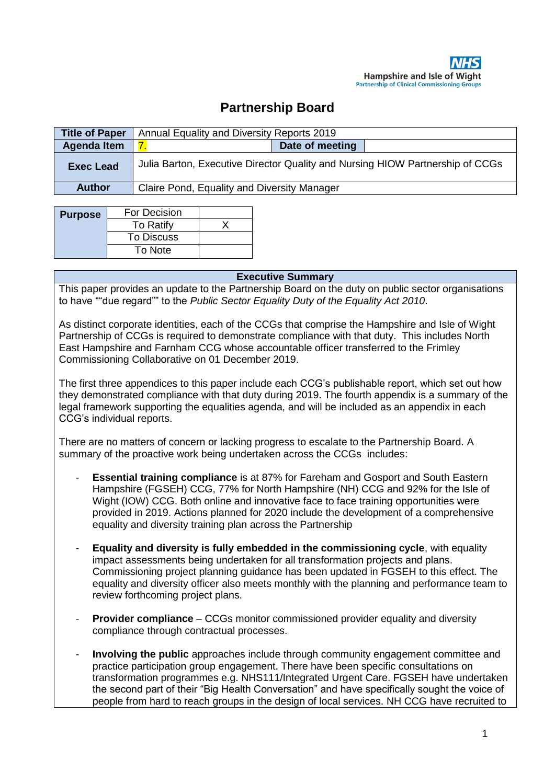# **Partnership Board**

| <b>Title of Paper</b> | Annual Equality and Diversity Reports 2019                                    |                 |  |
|-----------------------|-------------------------------------------------------------------------------|-----------------|--|
| <b>Agenda Item</b>    |                                                                               | Date of meeting |  |
| <b>Exec Lead</b>      | Julia Barton, Executive Director Quality and Nursing HIOW Partnership of CCGs |                 |  |
| <b>Author</b>         | Claire Pond, Equality and Diversity Manager                                   |                 |  |

| <b>Purpose</b> | For Decision     |  |
|----------------|------------------|--|
|                | <b>To Ratify</b> |  |
|                | To Discuss       |  |
|                | To Note          |  |

#### **Executive Summary**

This paper provides an update to the Partnership Board on the duty on public sector organisations to have ""due regard"" to the *Public Sector Equality Duty of the Equality Act 2010*.

As distinct corporate identities, each of the CCGs that comprise the Hampshire and Isle of Wight Partnership of CCGs is required to demonstrate compliance with that duty. This includes North East Hampshire and Farnham CCG whose accountable officer transferred to the Frimley Commissioning Collaborative on 01 December 2019.

The first three appendices to this paper include each CCG's publishable report, which set out how they demonstrated compliance with that duty during 2019. The fourth appendix is a summary of the legal framework supporting the equalities agenda, and will be included as an appendix in each CCG's individual reports.

There are no matters of concern or lacking progress to escalate to the Partnership Board. A summary of the proactive work being undertaken across the CCGs includes:

- **Essential training compliance** is at 87% for Fareham and Gosport and South Eastern Hampshire (FGSEH) CCG, 77% for North Hampshire (NH) CCG and 92% for the Isle of Wight (IOW) CCG. Both online and innovative face to face training opportunities were provided in 2019. Actions planned for 2020 include the development of a comprehensive equality and diversity training plan across the Partnership
- **Equality and diversity is fully embedded in the commissioning cycle**, with equality impact assessments being undertaken for all transformation projects and plans. Commissioning project planning guidance has been updated in FGSEH to this effect. The equality and diversity officer also meets monthly with the planning and performance team to review forthcoming project plans.
- **Provider compliance** CCGs monitor commissioned provider equality and diversity compliance through contractual processes.
- **Involving the public** approaches include through community engagement committee and practice participation group engagement. There have been specific consultations on transformation programmes e.g. NHS111/Integrated Urgent Care. FGSEH have undertaken the second part of their "Big Health Conversation" and have specifically sought the voice of people from hard to reach groups in the design of local services. NH CCG have recruited to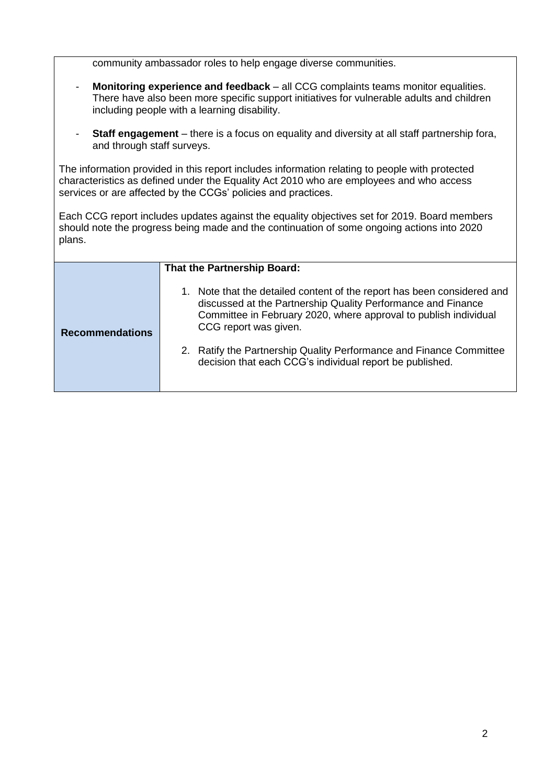community ambassador roles to help engage diverse communities.

- **Monitoring experience and feedback** all CCG complaints teams monitor equalities. There have also been more specific support initiatives for vulnerable adults and children including people with a learning disability.
- **Staff engagement** there is a focus on equality and diversity at all staff partnership fora, and through staff surveys.

The information provided in this report includes information relating to people with protected characteristics as defined under the Equality Act 2010 who are employees and who access services or are affected by the CCGs' policies and practices.

Each CCG report includes updates against the equality objectives set for 2019. Board members should note the progress being made and the continuation of some ongoing actions into 2020 plans.

|                        | That the Partnership Board:                                                                                                                                                                                                          |
|------------------------|--------------------------------------------------------------------------------------------------------------------------------------------------------------------------------------------------------------------------------------|
| <b>Recommendations</b> | 1. Note that the detailed content of the report has been considered and<br>discussed at the Partnership Quality Performance and Finance<br>Committee in February 2020, where approval to publish individual<br>CCG report was given. |
|                        | 2. Ratify the Partnership Quality Performance and Finance Committee<br>decision that each CCG's individual report be published.                                                                                                      |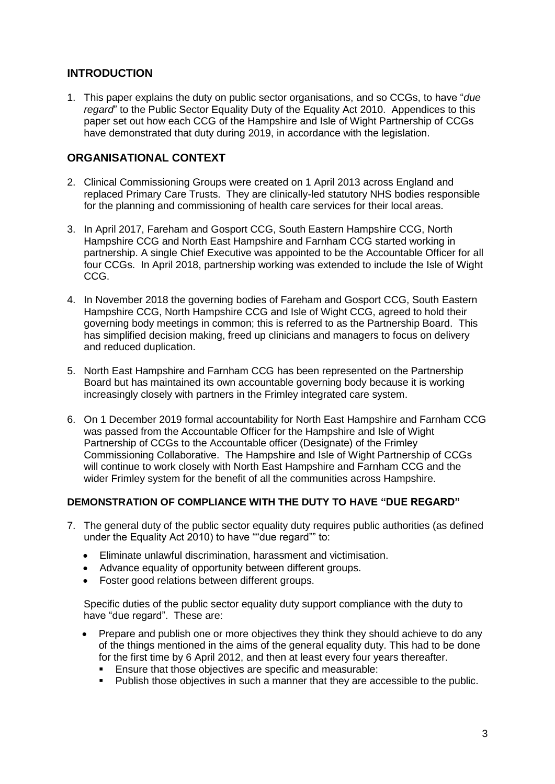# **INTRODUCTION**

1. This paper explains the duty on public sector organisations, and so CCGs, to have "*due regard*" to the Public Sector Equality Duty of the Equality Act 2010. Appendices to this paper set out how each CCG of the Hampshire and Isle of Wight Partnership of CCGs have demonstrated that duty during 2019, in accordance with the legislation.

# **ORGANISATIONAL CONTEXT**

- 2. Clinical Commissioning Groups were created on 1 April 2013 across England and replaced Primary Care Trusts. They are clinically-led statutory NHS bodies responsible for the planning and commissioning of health care services for their local areas.
- 3. In April 2017, Fareham and Gosport CCG, South Eastern Hampshire CCG, North Hampshire CCG and North East Hampshire and Farnham CCG started working in partnership. A single Chief Executive was appointed to be the Accountable Officer for all four CCGs. In April 2018, partnership working was extended to include the Isle of Wight CCG.
- 4. In November 2018 the governing bodies of Fareham and Gosport CCG, South Eastern Hampshire CCG, North Hampshire CCG and Isle of Wight CCG, agreed to hold their governing body meetings in common; this is referred to as the Partnership Board. This has simplified decision making, freed up clinicians and managers to focus on delivery and reduced duplication.
- 5. North East Hampshire and Farnham CCG has been represented on the Partnership Board but has maintained its own accountable governing body because it is working increasingly closely with partners in the Frimley integrated care system.
- 6. On 1 December 2019 formal accountability for North East Hampshire and Farnham CCG was passed from the Accountable Officer for the Hampshire and Isle of Wight Partnership of CCGs to the Accountable officer (Designate) of the Frimley Commissioning Collaborative. The Hampshire and Isle of Wight Partnership of CCGs will continue to work closely with North East Hampshire and Farnham CCG and the wider Frimley system for the benefit of all the communities across Hampshire.

#### **DEMONSTRATION OF COMPLIANCE WITH THE DUTY TO HAVE "DUE REGARD"**

- 7. The general duty of the public sector equality duty requires public authorities (as defined under the Equality Act 2010) to have ""due regard"" to:
	- Eliminate unlawful discrimination, harassment and victimisation.
	- Advance equality of opportunity between different groups.
	- Foster good relations between different groups.

Specific duties of the public sector equality duty support compliance with the duty to have "due regard". These are:

- Prepare and publish one or more objectives they think they should achieve to do any of the things mentioned in the aims of the general equality duty. This had to be done for the first time by 6 April 2012, and then at least every four years thereafter.
	- **Ensure that those objectives are specific and measurable:**
	- Publish those objectives in such a manner that they are accessible to the public.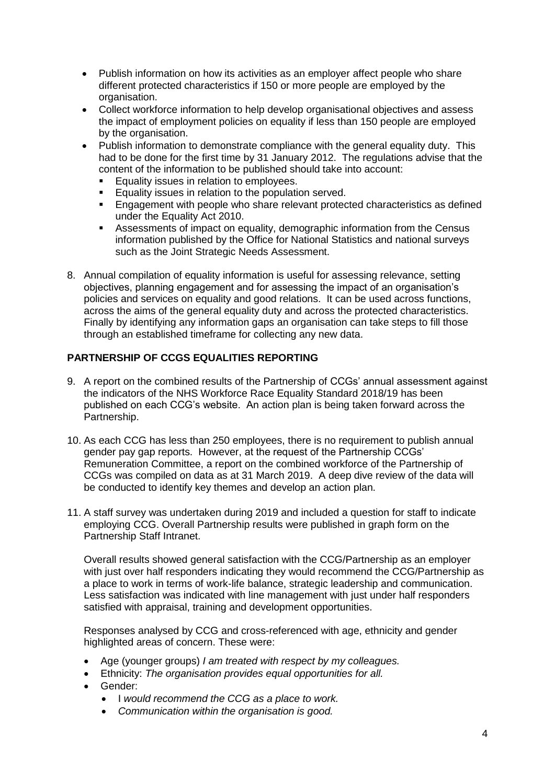- Publish information on how its activities as an employer affect people who share different protected characteristics if 150 or more people are employed by the organisation.
- Collect workforce information to help develop organisational objectives and assess the impact of employment policies on equality if less than 150 people are employed by the organisation.
- Publish information to demonstrate compliance with the general equality duty. This had to be done for the first time by 31 January 2012. The regulations advise that the content of the information to be published should take into account:
	- Equality issues in relation to employees.
	- **Equality issues in relation to the population served.**
	- Engagement with people who share relevant protected characteristics as defined under the Equality Act 2010.
	- Assessments of impact on equality, demographic information from the Census information published by the Office for National Statistics and national surveys such as the Joint Strategic Needs Assessment.
- 8. Annual compilation of equality information is useful for assessing relevance, setting objectives, planning engagement and for assessing the impact of an organisation's policies and services on equality and good relations. It can be used across functions, across the aims of the general equality duty and across the protected characteristics. Finally by identifying any information gaps an organisation can take steps to fill those through an established timeframe for collecting any new data.

# **PARTNERSHIP OF CCGS EQUALITIES REPORTING**

- 9. A report on the combined results of the Partnership of CCGs' annual assessment against the indicators of the NHS Workforce Race Equality Standard 2018/19 has been published on each CCG's website. An action plan is being taken forward across the Partnership.
- 10. As each CCG has less than 250 employees, there is no requirement to publish annual gender pay gap reports. However, at the request of the Partnership CCGs' Remuneration Committee, a report on the combined workforce of the Partnership of CCGs was compiled on data as at 31 March 2019. A deep dive review of the data will be conducted to identify key themes and develop an action plan.
- 11. A staff survey was undertaken during 2019 and included a question for staff to indicate employing CCG. Overall Partnership results were published in graph form on the Partnership Staff Intranet.

Overall results showed general satisfaction with the CCG/Partnership as an employer with just over half responders indicating they would recommend the CCG/Partnership as a place to work in terms of work-life balance, strategic leadership and communication. Less satisfaction was indicated with line management with just under half responders satisfied with appraisal, training and development opportunities.

Responses analysed by CCG and cross-referenced with age, ethnicity and gender highlighted areas of concern. These were:

- Age (younger groups) *I am treated with respect by my colleagues.*
- Ethnicity: *The organisation provides equal opportunities for all.*
- Gender:
	- I *would recommend the CCG as a place to work.*
	- *Communication within the organisation is good.*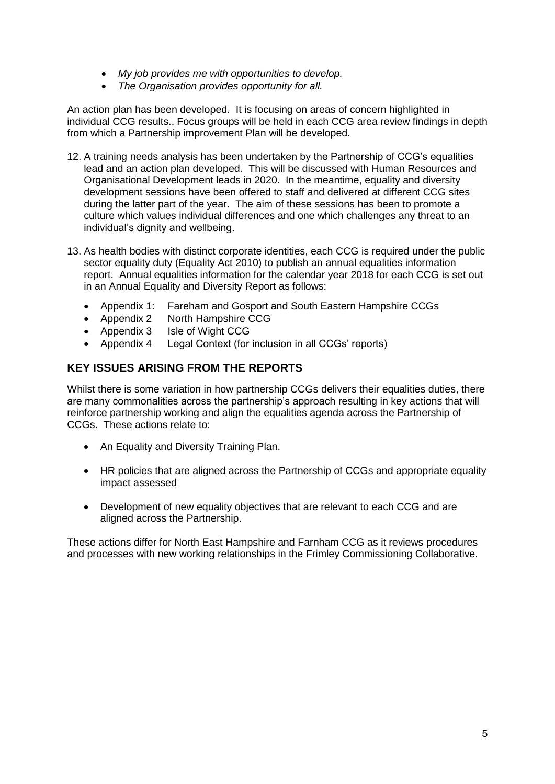- *My job provides me with opportunities to develop.*
- *The Organisation provides opportunity for all.*

An action plan has been developed. It is focusing on areas of concern highlighted in individual CCG results.. Focus groups will be held in each CCG area review findings in depth from which a Partnership improvement Plan will be developed.

- 12. A training needs analysis has been undertaken by the Partnership of CCG's equalities lead and an action plan developed. This will be discussed with Human Resources and Organisational Development leads in 2020. In the meantime, equality and diversity development sessions have been offered to staff and delivered at different CCG sites during the latter part of the year. The aim of these sessions has been to promote a culture which values individual differences and one which challenges any threat to an individual's dignity and wellbeing.
- 13. As health bodies with distinct corporate identities, each CCG is required under the public sector equality duty (Equality Act 2010) to publish an annual equalities information report. Annual equalities information for the calendar year 2018 for each CCG is set out in an Annual Equality and Diversity Report as follows:
	- Appendix 1: Fareham and Gosport and South Eastern Hampshire CCGs
	- Appendix 2 North Hampshire CCG
	- Appendix 3 Isle of Wight CCG
	- Appendix 4 Legal Context (for inclusion in all CCGs' reports)

# **KEY ISSUES ARISING FROM THE REPORTS**

Whilst there is some variation in how partnership CCGs delivers their equalities duties, there are many commonalities across the partnership's approach resulting in key actions that will reinforce partnership working and align the equalities agenda across the Partnership of CCGs. These actions relate to:

- An Equality and Diversity Training Plan.
- HR policies that are aligned across the Partnership of CCGs and appropriate equality impact assessed
- Development of new equality objectives that are relevant to each CCG and are aligned across the Partnership.

These actions differ for North East Hampshire and Farnham CCG as it reviews procedures and processes with new working relationships in the Frimley Commissioning Collaborative.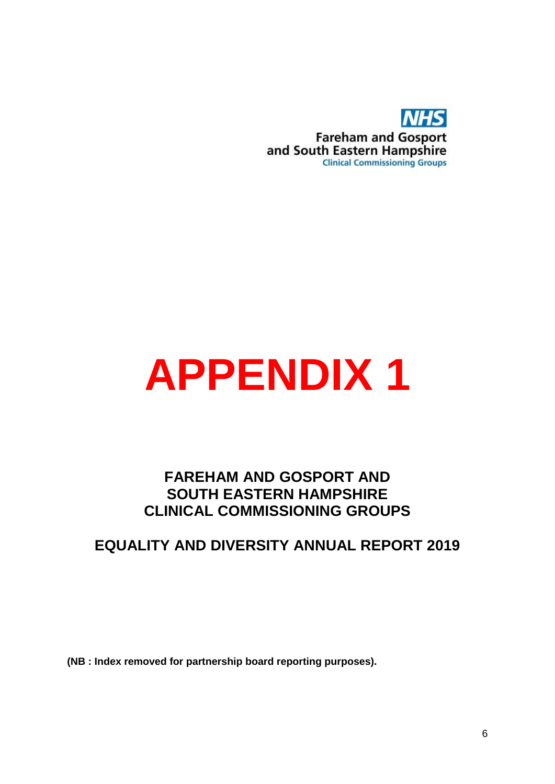

# **APPENDIX 1**

# **FAREHAM AND GOSPORT AND SOUTH EASTERN HAMPSHIRE CLINICAL COMMISSIONING GROUPS**

# **EQUALITY AND DIVERSITY ANNUAL REPORT 2019**

**(NB : Index removed for partnership board reporting purposes).**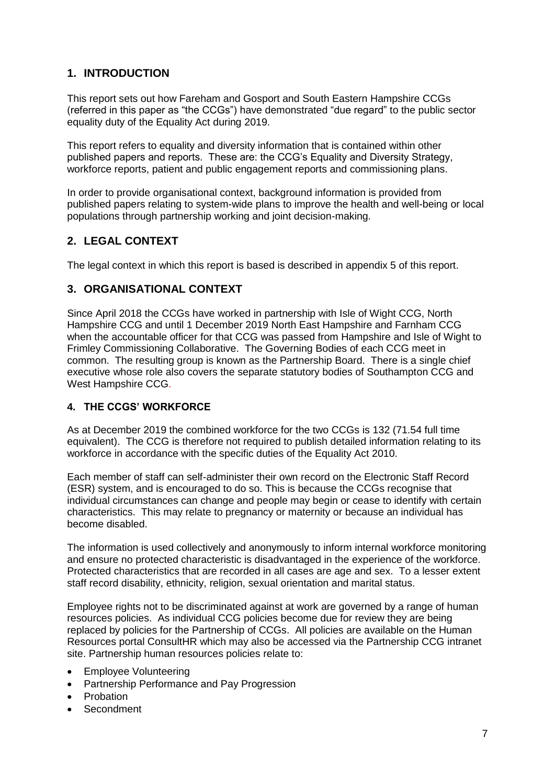# **1. INTRODUCTION**

This report sets out how Fareham and Gosport and South Eastern Hampshire CCGs (referred in this paper as "the CCGs") have demonstrated "due regard" to the public sector equality duty of the Equality Act during 2019.

This report refers to equality and diversity information that is contained within other published papers and reports. These are: the CCG's Equality and Diversity Strategy, workforce reports, patient and public engagement reports and commissioning plans.

In order to provide organisational context, background information is provided from published papers relating to system-wide plans to improve the health and well-being or local populations through partnership working and joint decision-making.

# **2. LEGAL CONTEXT**

The legal context in which this report is based is described in appendix 5 of this report.

# **3. ORGANISATIONAL CONTEXT**

Since April 2018 the CCGs have worked in partnership with Isle of Wight CCG, North Hampshire CCG and until 1 December 2019 North East Hampshire and Farnham CCG when the accountable officer for that CCG was passed from Hampshire and Isle of Wight to Frimley Commissioning Collaborative. The Governing Bodies of each CCG meet in common. The resulting group is known as the Partnership Board. There is a single chief executive whose role also covers the separate statutory bodies of Southampton CCG and West Hampshire CCG.

#### **4. THE CCGS' WORKFORCE**

As at December 2019 the combined workforce for the two CCGs is 132 (71.54 full time equivalent). The CCG is therefore not required to publish detailed information relating to its workforce in accordance with the specific duties of the Equality Act 2010.

Each member of staff can self-administer their own record on the Electronic Staff Record (ESR) system, and is encouraged to do so. This is because the CCGs recognise that individual circumstances can change and people may begin or cease to identify with certain characteristics. This may relate to pregnancy or maternity or because an individual has become disabled.

The information is used collectively and anonymously to inform internal workforce monitoring and ensure no protected characteristic is disadvantaged in the experience of the workforce. Protected characteristics that are recorded in all cases are age and sex. To a lesser extent staff record disability, ethnicity, religion, sexual orientation and marital status.

Employee rights not to be discriminated against at work are governed by a range of human resources policies. As individual CCG policies become due for review they are being replaced by policies for the Partnership of CCGs. All policies are available on the Human Resources portal ConsultHR which may also be accessed via the Partnership CCG intranet site. Partnership human resources policies relate to:

- Employee Volunteering
- Partnership Performance and Pay Progression
- Probation
- Secondment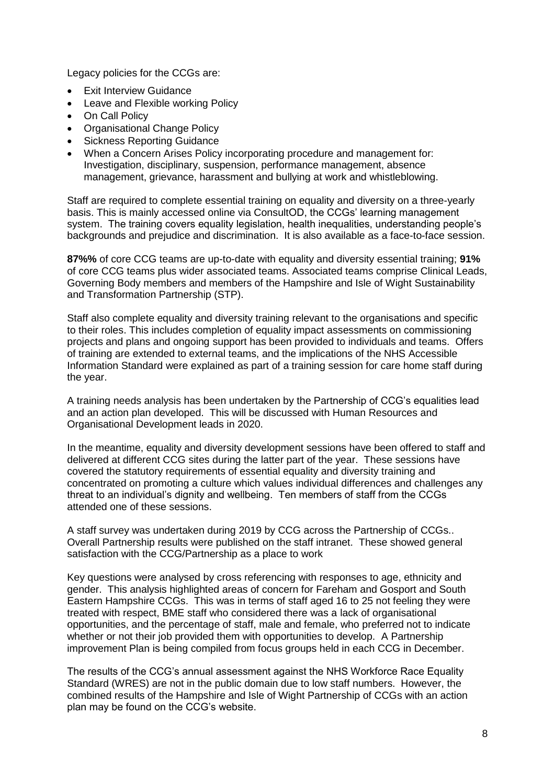Legacy policies for the CCGs are:

- Exit Interview Guidance
- Leave and Flexible working Policy
- On Call Policy
- Organisational Change Policy
- Sickness Reporting Guidance
- When a Concern Arises Policy incorporating procedure and management for: Investigation, disciplinary, suspension, performance management, absence management, grievance, harassment and bullying at work and whistleblowing.

Staff are required to complete essential training on equality and diversity on a three-yearly basis. This is mainly accessed online via ConsultOD, the CCGs' learning management system. The training covers equality legislation, health inequalities, understanding people's backgrounds and prejudice and discrimination. It is also available as a face-to-face session.

**87%%** of core CCG teams are up-to-date with equality and diversity essential training; **91%** of core CCG teams plus wider associated teams. Associated teams comprise Clinical Leads, Governing Body members and members of the Hampshire and Isle of Wight Sustainability and Transformation Partnership (STP).

Staff also complete equality and diversity training relevant to the organisations and specific to their roles. This includes completion of equality impact assessments on commissioning projects and plans and ongoing support has been provided to individuals and teams. Offers of training are extended to external teams, and the implications of the NHS Accessible Information Standard were explained as part of a training session for care home staff during the year.

A training needs analysis has been undertaken by the Partnership of CCG's equalities lead and an action plan developed. This will be discussed with Human Resources and Organisational Development leads in 2020.

In the meantime, equality and diversity development sessions have been offered to staff and delivered at different CCG sites during the latter part of the year. These sessions have covered the statutory requirements of essential equality and diversity training and concentrated on promoting a culture which values individual differences and challenges any threat to an individual's dignity and wellbeing. Ten members of staff from the CCGs attended one of these sessions.

A staff survey was undertaken during 2019 by CCG across the Partnership of CCGs.. Overall Partnership results were published on the staff intranet. These showed general satisfaction with the CCG/Partnership as a place to work

Key questions were analysed by cross referencing with responses to age, ethnicity and gender. This analysis highlighted areas of concern for Fareham and Gosport and South Eastern Hampshire CCGs. This was in terms of staff aged 16 to 25 not feeling they were treated with respect, BME staff who considered there was a lack of organisational opportunities, and the percentage of staff, male and female, who preferred not to indicate whether or not their job provided them with opportunities to develop. A Partnership improvement Plan is being compiled from focus groups held in each CCG in December.

The results of the CCG's annual assessment against the NHS Workforce Race Equality Standard (WRES) are not in the public domain due to low staff numbers. However, the combined results of the Hampshire and Isle of Wight Partnership of CCGs with an action plan may be found on the CCG's website.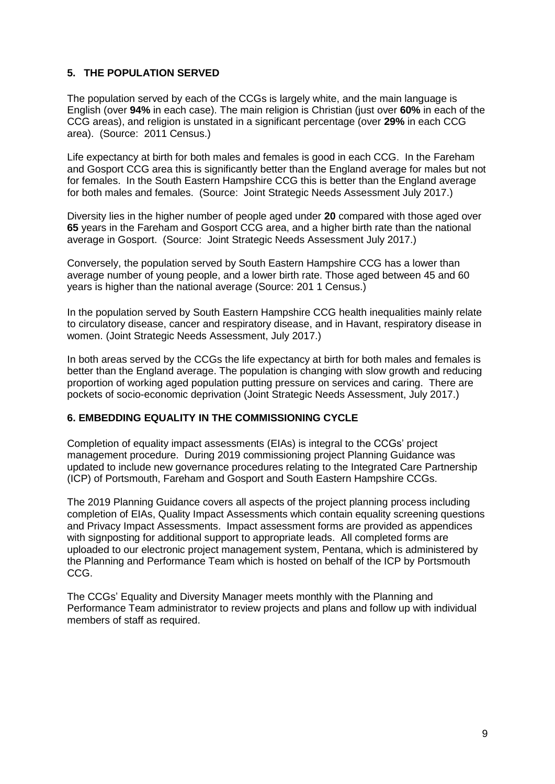#### **5. THE POPULATION SERVED**

The population served by each of the CCGs is largely white, and the main language is English (over **94%** in each case). The main religion is Christian (just over **60%** in each of the CCG areas), and religion is unstated in a significant percentage (over **29%** in each CCG area). (Source: 2011 Census.)

Life expectancy at birth for both males and females is good in each CCG. In the Fareham and Gosport CCG area this is significantly better than the England average for males but not for females. In the South Eastern Hampshire CCG this is better than the England average for both males and females. (Source: Joint Strategic Needs Assessment July 2017.)

Diversity lies in the higher number of people aged under **20** compared with those aged over **65** years in the Fareham and Gosport CCG area, and a higher birth rate than the national average in Gosport. (Source: Joint Strategic Needs Assessment July 2017.)

Conversely, the population served by South Eastern Hampshire CCG has a lower than average number of young people, and a lower birth rate. Those aged between 45 and 60 years is higher than the national average (Source: 201 1 Census.)

In the population served by South Eastern Hampshire CCG health inequalities mainly relate to circulatory disease, cancer and respiratory disease, and in Havant, respiratory disease in women. (Joint Strategic Needs Assessment, July 2017.)

In both areas served by the CCGs the life expectancy at birth for both males and females is better than the England average. The population is changing with slow growth and reducing proportion of working aged population putting pressure on services and caring. There are pockets of socio-economic deprivation (Joint Strategic Needs Assessment, July 2017.)

#### **6. EMBEDDING EQUALITY IN THE COMMISSIONING CYCLE**

Completion of equality impact assessments (EIAs) is integral to the CCGs' project management procedure. During 2019 commissioning project Planning Guidance was updated to include new governance procedures relating to the Integrated Care Partnership (ICP) of Portsmouth, Fareham and Gosport and South Eastern Hampshire CCGs.

The 2019 Planning Guidance covers all aspects of the project planning process including completion of EIAs, Quality Impact Assessments which contain equality screening questions and Privacy Impact Assessments. Impact assessment forms are provided as appendices with signposting for additional support to appropriate leads. All completed forms are uploaded to our electronic project management system, Pentana, which is administered by the Planning and Performance Team which is hosted on behalf of the ICP by Portsmouth CCG.

The CCGs' Equality and Diversity Manager meets monthly with the Planning and Performance Team administrator to review projects and plans and follow up with individual members of staff as required.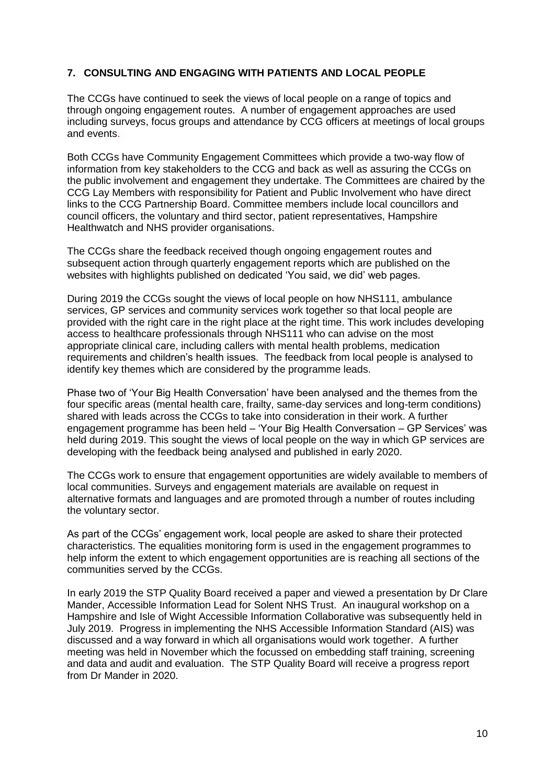#### **7. CONSULTING AND ENGAGING WITH PATIENTS AND LOCAL PEOPLE**

The CCGs have continued to seek the views of local people on a range of topics and through ongoing engagement routes. A number of engagement approaches are used including surveys, focus groups and attendance by CCG officers at meetings of local groups and events.

Both CCGs have Community Engagement Committees which provide a two-way flow of information from key stakeholders to the CCG and back as well as assuring the CCGs on the public involvement and engagement they undertake. The Committees are chaired by the CCG Lay Members with responsibility for Patient and Public Involvement who have direct links to the CCG Partnership Board. Committee members include local councillors and council officers, the voluntary and third sector, patient representatives, Hampshire Healthwatch and NHS provider organisations.

The CCGs share the feedback received though ongoing engagement routes and subsequent action through quarterly engagement reports which are published on the websites with highlights published on dedicated 'You said, we did' web pages.

During 2019 the CCGs sought the views of local people on how NHS111, ambulance services, GP services and community services work together so that local people are provided with the right care in the right place at the right time. This work includes developing access to healthcare professionals through NHS111 who can advise on the most appropriate clinical care, including callers with mental health problems, medication requirements and children's health issues. The feedback from local people is analysed to identify key themes which are considered by the programme leads.

Phase two of 'Your Big Health Conversation' have been analysed and the themes from the four specific areas (mental health care, frailty, same-day services and long-term conditions) shared with leads across the CCGs to take into consideration in their work. A further engagement programme has been held – 'Your Big Health Conversation – GP Services' was held during 2019. This sought the views of local people on the way in which GP services are developing with the feedback being analysed and published in early 2020.

The CCGs work to ensure that engagement opportunities are widely available to members of local communities. Surveys and engagement materials are available on request in alternative formats and languages and are promoted through a number of routes including the voluntary sector.

As part of the CCGs' engagement work, local people are asked to share their protected characteristics. The equalities monitoring form is used in the engagement programmes to help inform the extent to which engagement opportunities are is reaching all sections of the communities served by the CCGs.

In early 2019 the STP Quality Board received a paper and viewed a presentation by Dr Clare Mander, Accessible Information Lead for Solent NHS Trust. An inaugural workshop on a Hampshire and Isle of Wight Accessible Information Collaborative was subsequently held in July 2019. Progress in implementing the NHS Accessible Information Standard (AIS) was discussed and a way forward in which all organisations would work together. A further meeting was held in November which the focussed on embedding staff training, screening and data and audit and evaluation. The STP Quality Board will receive a progress report from Dr Mander in 2020.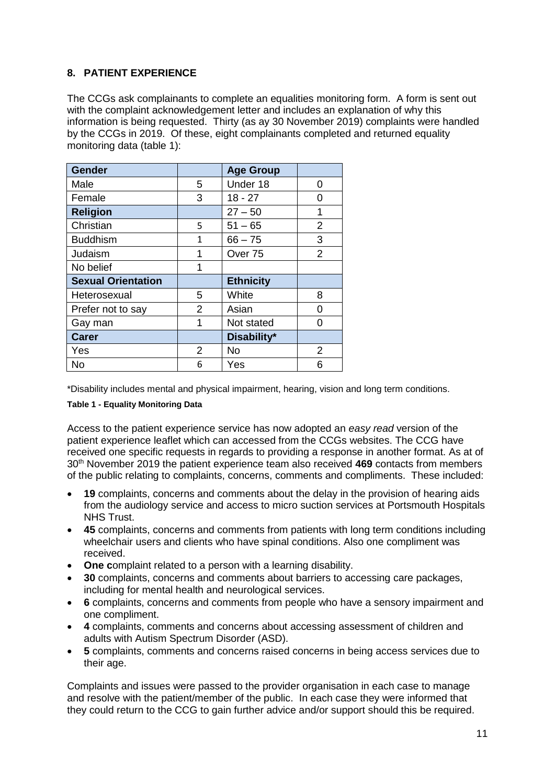# **8. PATIENT EXPERIENCE**

The CCGs ask complainants to complete an equalities monitoring form. A form is sent out with the complaint acknowledgement letter and includes an explanation of why this information is being requested. Thirty (as ay 30 November 2019) complaints were handled by the CCGs in 2019. Of these, eight complainants completed and returned equality monitoring data (table 1):

| <b>Gender</b>             |                | <b>Age Group</b>   |                |
|---------------------------|----------------|--------------------|----------------|
| Male                      | 5              | Under 18           | 0              |
| Female                    | 3              | $18 - 27$          | Ω              |
| <b>Religion</b>           |                | $27 - 50$          | 1              |
| Christian                 | 5              | $51 - 65$          | $\overline{2}$ |
| <b>Buddhism</b>           | 1              | $66 - 75$          | 3              |
| Judaism                   | 1              | Over <sub>75</sub> | $\overline{2}$ |
| No belief                 | 1              |                    |                |
| <b>Sexual Orientation</b> |                | <b>Ethnicity</b>   |                |
| Heterosexual              | 5              | White              | 8              |
| Prefer not to say         | $\overline{2}$ | Asian              | 0              |
| Gay man                   | 1              | Not stated         | O              |
| <b>Carer</b>              |                | Disability*        |                |
| Yes                       | 2              | <b>No</b>          | 2              |
| <b>No</b>                 | 6              | Yes                | 6              |

\*Disability includes mental and physical impairment, hearing, vision and long term conditions.

#### **Table 1 - Equality Monitoring Data**

Access to the patient experience service has now adopted an *easy read* version of the patient experience leaflet which can accessed from the CCGs websites. The CCG have received one specific requests in regards to providing a response in another format. As at of 30th November 2019 the patient experience team also received **469** contacts from members of the public relating to complaints, concerns, comments and compliments. These included:

- **19** complaints, concerns and comments about the delay in the provision of hearing aids from the audiology service and access to micro suction services at Portsmouth Hospitals NHS Trust.
- **45** complaints, concerns and comments from patients with long term conditions including wheelchair users and clients who have spinal conditions. Also one compliment was received.
- **One c**omplaint related to a person with a learning disability.
- **30** complaints, concerns and comments about barriers to accessing care packages, including for mental health and neurological services.
- **6** complaints, concerns and comments from people who have a sensory impairment and one compliment.
- **4** complaints, comments and concerns about accessing assessment of children and adults with Autism Spectrum Disorder (ASD).
- **5** complaints, comments and concerns raised concerns in being access services due to their age.

Complaints and issues were passed to the provider organisation in each case to manage and resolve with the patient/member of the public. In each case they were informed that they could return to the CCG to gain further advice and/or support should this be required.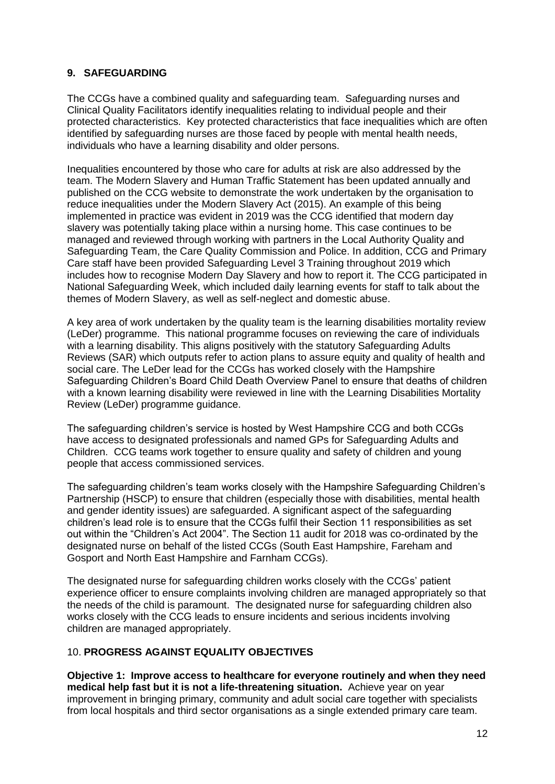#### **9. SAFEGUARDING**

The CCGs have a combined quality and safeguarding team. Safeguarding nurses and Clinical Quality Facilitators identify inequalities relating to individual people and their protected characteristics. Key protected characteristics that face inequalities which are often identified by safeguarding nurses are those faced by people with mental health needs, individuals who have a learning disability and older persons.

Inequalities encountered by those who care for adults at risk are also addressed by the team. The Modern Slavery and Human Traffic Statement has been updated annually and published on the CCG website to demonstrate the work undertaken by the organisation to reduce inequalities under the Modern Slavery Act (2015). An example of this being implemented in practice was evident in 2019 was the CCG identified that modern day slavery was potentially taking place within a nursing home. This case continues to be managed and reviewed through working with partners in the Local Authority Quality and Safeguarding Team, the Care Quality Commission and Police. In addition, CCG and Primary Care staff have been provided Safeguarding Level 3 Training throughout 2019 which includes how to recognise Modern Day Slavery and how to report it. The CCG participated in National Safeguarding Week, which included daily learning events for staff to talk about the themes of Modern Slavery, as well as self-neglect and domestic abuse.

A key area of work undertaken by the quality team is the learning disabilities mortality review (LeDer) programme. This national programme focuses on reviewing the care of individuals with a learning disability. This aligns positively with the statutory Safeguarding Adults Reviews (SAR) which outputs refer to action plans to assure equity and quality of health and social care. The LeDer lead for the CCGs has worked closely with the Hampshire Safeguarding Children's Board Child Death Overview Panel to ensure that deaths of children with a known learning disability were reviewed in line with the Learning Disabilities Mortality Review (LeDer) programme guidance.

The safeguarding children's service is hosted by West Hampshire CCG and both CCGs have access to designated professionals and named GPs for Safeguarding Adults and Children. CCG teams work together to ensure quality and safety of children and young people that access commissioned services.

The safeguarding children's team works closely with the Hampshire Safeguarding Children's Partnership (HSCP) to ensure that children (especially those with disabilities, mental health and gender identity issues) are safeguarded. A significant aspect of the safeguarding children's lead role is to ensure that the CCGs fulfil their Section 11 responsibilities as set out within the "Children's Act 2004". The Section 11 audit for 2018 was co-ordinated by the designated nurse on behalf of the listed CCGs (South East Hampshire, Fareham and Gosport and North East Hampshire and Farnham CCGs).

The designated nurse for safeguarding children works closely with the CCGs' patient experience officer to ensure complaints involving children are managed appropriately so that the needs of the child is paramount. The designated nurse for safeguarding children also works closely with the CCG leads to ensure incidents and serious incidents involving children are managed appropriately.

#### 10. **PROGRESS AGAINST EQUALITY OBJECTIVES**

**Objective 1: Improve access to healthcare for everyone routinely and when they need medical help fast but it is not a life-threatening situation.** Achieve year on year improvement in bringing primary, community and adult social care together with specialists from local hospitals and third sector organisations as a single extended primary care team.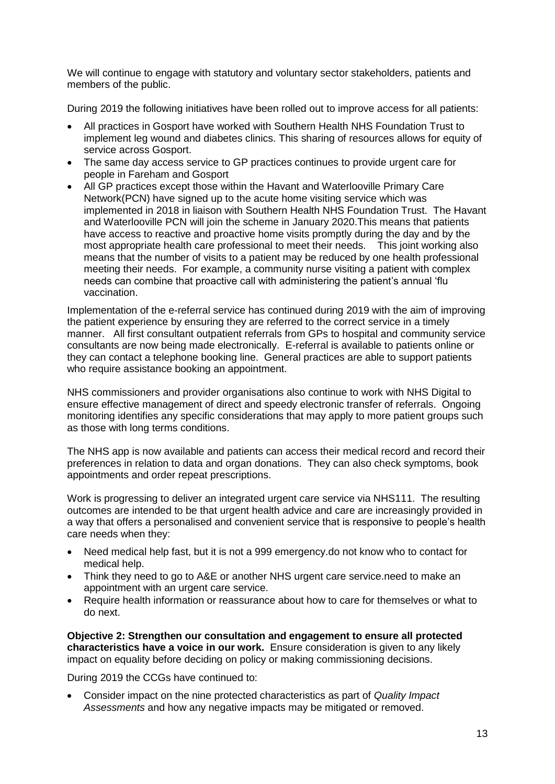We will continue to engage with statutory and voluntary sector stakeholders, patients and members of the public.

During 2019 the following initiatives have been rolled out to improve access for all patients:

- All practices in Gosport have worked with Southern Health NHS Foundation Trust to implement leg wound and diabetes clinics. This sharing of resources allows for equity of service across Gosport.
- The same day access service to GP practices continues to provide urgent care for people in Fareham and Gosport
- All GP practices except those within the Havant and Waterlooville Primary Care Network(PCN) have signed up to the acute home visiting service which was implemented in 2018 in liaison with Southern Health NHS Foundation Trust. The Havant and Waterlooville PCN will join the scheme in January 2020.This means that patients have access to reactive and proactive home visits promptly during the day and by the most appropriate health care professional to meet their needs. This joint working also means that the number of visits to a patient may be reduced by one health professional meeting their needs. For example, a community nurse visiting a patient with complex needs can combine that proactive call with administering the patient's annual 'flu vaccination.

Implementation of the e-referral service has continued during 2019 with the aim of improving the patient experience by ensuring they are referred to the correct service in a timely manner. All first consultant outpatient referrals from GPs to hospital and community service consultants are now being made electronically. E-referral is available to patients online or they can contact a telephone booking line. General practices are able to support patients who require assistance booking an appointment.

NHS commissioners and provider organisations also continue to work with NHS Digital to ensure effective management of direct and speedy electronic transfer of referrals. Ongoing monitoring identifies any specific considerations that may apply to more patient groups such as those with long terms conditions.

The NHS app is now available and patients can access their medical record and record their preferences in relation to data and organ donations. They can also check symptoms, book appointments and order repeat prescriptions.

Work is progressing to deliver an integrated urgent care service via NHS111. The resulting outcomes are intended to be that urgent health advice and care are increasingly provided in a way that offers a personalised and convenient service that is responsive to people's health care needs when they:

- Need medical help fast, but it is not a 999 emergency.do not know who to contact for medical help.
- Think they need to go to A&E or another NHS urgent care service.need to make an appointment with an urgent care service.
- Require health information or reassurance about how to care for themselves or what to do next.

**Objective 2: Strengthen our consultation and engagement to ensure all protected characteristics have a voice in our work.** Ensure consideration is given to any likely impact on equality before deciding on policy or making commissioning decisions.

During 2019 the CCGs have continued to:

 Consider impact on the nine protected characteristics as part of *Quality Impact Assessments* and how any negative impacts may be mitigated or removed.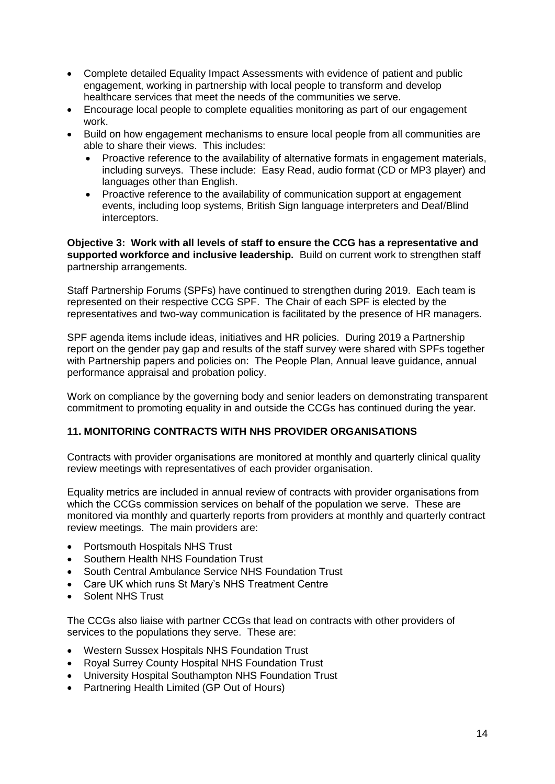- Complete detailed Equality Impact Assessments with evidence of patient and public engagement, working in partnership with local people to transform and develop healthcare services that meet the needs of the communities we serve.
- Encourage local people to complete equalities monitoring as part of our engagement work.
- Build on how engagement mechanisms to ensure local people from all communities are able to share their views. This includes:
	- Proactive reference to the availability of alternative formats in engagement materials, including surveys. These include: Easy Read, audio format (CD or MP3 player) and languages other than English.
	- Proactive reference to the availability of communication support at engagement events, including loop systems, British Sign language interpreters and Deaf/Blind interceptors.

**Objective 3: Work with all levels of staff to ensure the CCG has a representative and supported workforce and inclusive leadership.** Build on current work to strengthen staff partnership arrangements.

Staff Partnership Forums (SPFs) have continued to strengthen during 2019. Each team is represented on their respective CCG SPF. The Chair of each SPF is elected by the representatives and two-way communication is facilitated by the presence of HR managers.

SPF agenda items include ideas, initiatives and HR policies. During 2019 a Partnership report on the gender pay gap and results of the staff survey were shared with SPFs together with Partnership papers and policies on: The People Plan, Annual leave guidance, annual performance appraisal and probation policy.

Work on compliance by the governing body and senior leaders on demonstrating transparent commitment to promoting equality in and outside the CCGs has continued during the year.

#### **11. MONITORING CONTRACTS WITH NHS PROVIDER ORGANISATIONS**

Contracts with provider organisations are monitored at monthly and quarterly clinical quality review meetings with representatives of each provider organisation.

Equality metrics are included in annual review of contracts with provider organisations from which the CCGs commission services on behalf of the population we serve. These are monitored via monthly and quarterly reports from providers at monthly and quarterly contract review meetings. The main providers are:

- Portsmouth Hospitals NHS Trust
- Southern Health NHS Foundation Trust
- South Central Ambulance Service NHS Foundation Trust
- Care UK which runs St Mary's NHS Treatment Centre
- Solent NHS Trust

The CCGs also liaise with partner CCGs that lead on contracts with other providers of services to the populations they serve. These are:

- Western Sussex Hospitals NHS Foundation Trust
- Royal Surrey County Hospital NHS Foundation Trust
- University Hospital Southampton NHS Foundation Trust
- Partnering Health Limited (GP Out of Hours)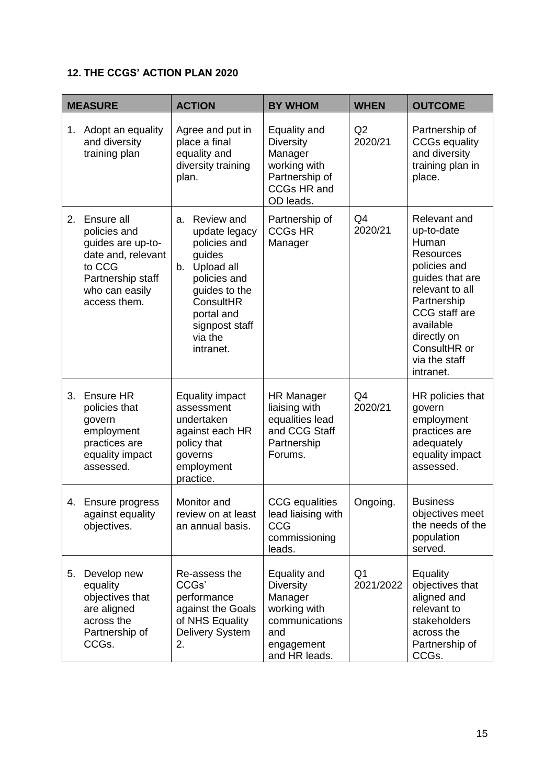# **12. THE CCGS' ACTION PLAN 2020**

|    | <b>MEASURE</b>                                                                                                                         | <b>ACTION</b>                                                                                                                                                                         | <b>BY WHOM</b>                                                                                                      | <b>WHEN</b>                 | <b>OUTCOME</b>                                                                                                                                                                                                          |
|----|----------------------------------------------------------------------------------------------------------------------------------------|---------------------------------------------------------------------------------------------------------------------------------------------------------------------------------------|---------------------------------------------------------------------------------------------------------------------|-----------------------------|-------------------------------------------------------------------------------------------------------------------------------------------------------------------------------------------------------------------------|
| 1. | Adopt an equality<br>and diversity<br>training plan                                                                                    | Agree and put in<br>place a final<br>equality and<br>diversity training<br>plan.                                                                                                      | Equality and<br><b>Diversity</b><br>Manager<br>working with<br>Partnership of<br><b>CCGs HR and</b><br>OD leads.    | Q2<br>2020/21               | Partnership of<br><b>CCGs equality</b><br>and diversity<br>training plan in<br>place.                                                                                                                                   |
| 2. | Ensure all<br>policies and<br>guides are up-to-<br>date and, relevant<br>to CCG<br>Partnership staff<br>who can easily<br>access them. | Review and<br>a.<br>update legacy<br>policies and<br>guides<br>Upload all<br>b.<br>policies and<br>guides to the<br>ConsultHR<br>portal and<br>signpost staff<br>via the<br>intranet. | Partnership of<br><b>CCGs HR</b><br>Manager                                                                         | Q4<br>2020/21               | Relevant and<br>up-to-date<br>Human<br><b>Resources</b><br>policies and<br>guides that are<br>relevant to all<br>Partnership<br>CCG staff are<br>available<br>directly on<br>ConsultHR or<br>via the staff<br>intranet. |
| 3. | <b>Ensure HR</b><br>policies that<br>govern<br>employment<br>practices are<br>equality impact<br>assessed.                             | <b>Equality impact</b><br>assessment<br>undertaken<br>against each HR<br>policy that<br>governs<br>employment<br>practice.                                                            | <b>HR Manager</b><br>liaising with<br>equalities lead<br>and CCG Staff<br>Partnership<br>Forums.                    | Q <sub>4</sub><br>2020/21   | HR policies that<br>govern<br>employment<br>practices are<br>adequately<br>equality impact<br>assessed.                                                                                                                 |
|    | 4. Ensure progress<br>against equality<br>objectives.                                                                                  | Monitor and<br>review on at least<br>an annual basis.                                                                                                                                 | <b>CCG</b> equalities<br>lead liaising with<br>CCG<br>commissioning<br>leads.                                       | Ongoing.                    | <b>Business</b><br>objectives meet<br>the needs of the<br>population<br>served.                                                                                                                                         |
| 5. | Develop new<br>equality<br>objectives that<br>are aligned<br>across the<br>Partnership of<br>CCGs.                                     | Re-assess the<br>CCGs'<br>performance<br>against the Goals<br>of NHS Equality<br><b>Delivery System</b><br>2.                                                                         | Equality and<br><b>Diversity</b><br>Manager<br>working with<br>communications<br>and<br>engagement<br>and HR leads. | Q <sub>1</sub><br>2021/2022 | Equality<br>objectives that<br>aligned and<br>relevant to<br>stakeholders<br>across the<br>Partnership of<br>CCGs.                                                                                                      |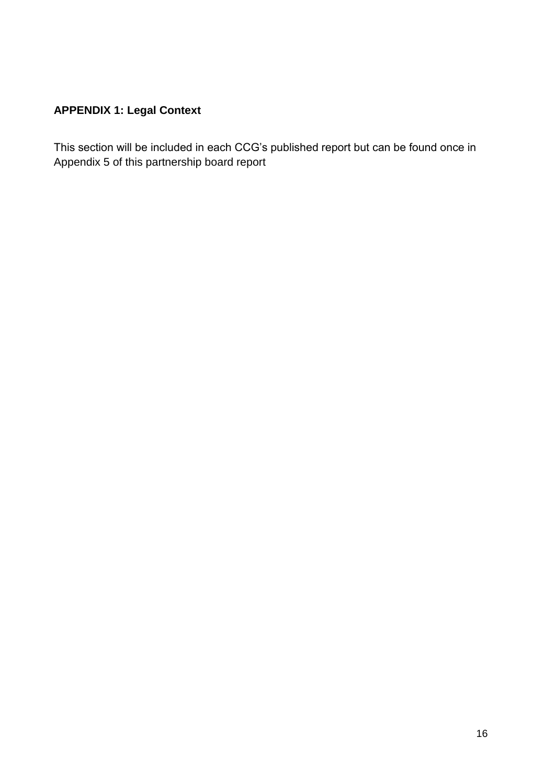# **APPENDIX 1: Legal Context**

This section will be included in each CCG's published report but can be found once in Appendix 5 of this partnership board report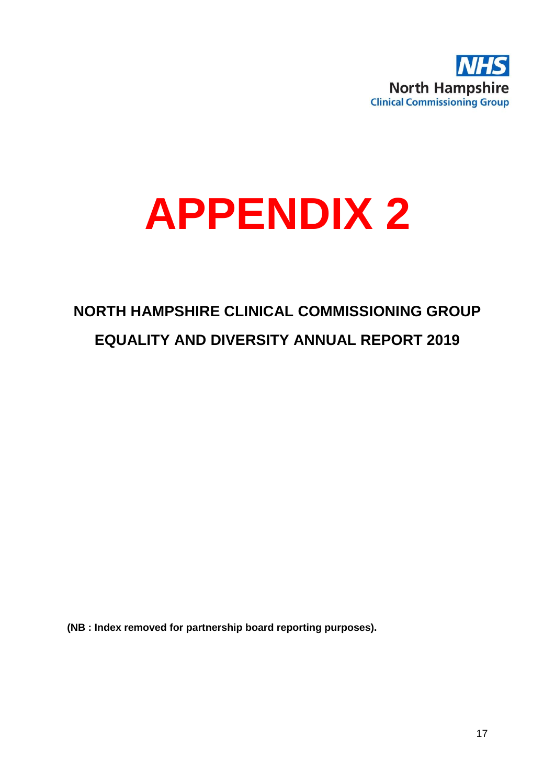

# **APPENDIX 2**

# **NORTH HAMPSHIRE CLINICAL COMMISSIONING GROUP EQUALITY AND DIVERSITY ANNUAL REPORT 2019**

**(NB : Index removed for partnership board reporting purposes).**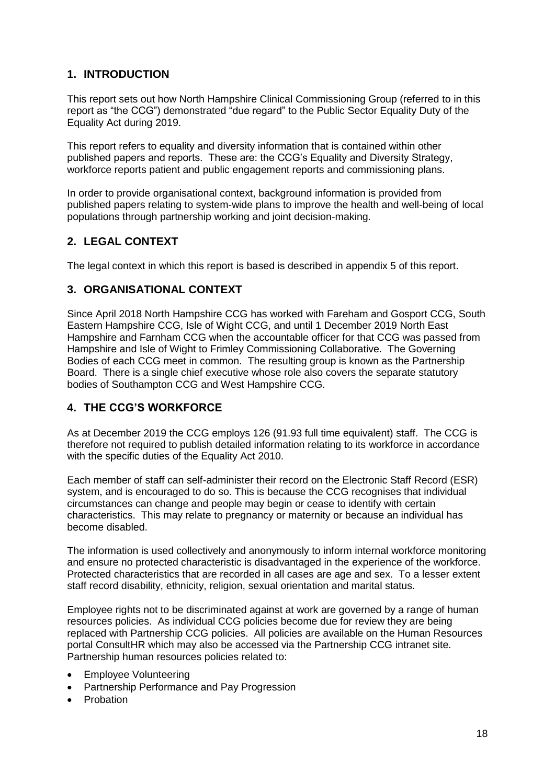# **1. INTRODUCTION**

This report sets out how North Hampshire Clinical Commissioning Group (referred to in this report as "the CCG") demonstrated "due regard" to the Public Sector Equality Duty of the Equality Act during 2019.

This report refers to equality and diversity information that is contained within other published papers and reports. These are: the CCG's Equality and Diversity Strategy, workforce reports patient and public engagement reports and commissioning plans.

In order to provide organisational context, background information is provided from published papers relating to system-wide plans to improve the health and well-being of local populations through partnership working and joint decision-making.

# **2. LEGAL CONTEXT**

The legal context in which this report is based is described in appendix 5 of this report.

# **3. ORGANISATIONAL CONTEXT**

Since April 2018 North Hampshire CCG has worked with Fareham and Gosport CCG, South Eastern Hampshire CCG, Isle of Wight CCG, and until 1 December 2019 North East Hampshire and Farnham CCG when the accountable officer for that CCG was passed from Hampshire and Isle of Wight to Frimley Commissioning Collaborative. The Governing Bodies of each CCG meet in common. The resulting group is known as the Partnership Board. There is a single chief executive whose role also covers the separate statutory bodies of Southampton CCG and West Hampshire CCG.

# **4. THE CCG'S WORKFORCE**

As at December 2019 the CCG employs 126 (91.93 full time equivalent) staff. The CCG is therefore not required to publish detailed information relating to its workforce in accordance with the specific duties of the Equality Act 2010.

Each member of staff can self-administer their record on the Electronic Staff Record (ESR) system, and is encouraged to do so. This is because the CCG recognises that individual circumstances can change and people may begin or cease to identify with certain characteristics. This may relate to pregnancy or maternity or because an individual has become disabled.

The information is used collectively and anonymously to inform internal workforce monitoring and ensure no protected characteristic is disadvantaged in the experience of the workforce. Protected characteristics that are recorded in all cases are age and sex. To a lesser extent staff record disability, ethnicity, religion, sexual orientation and marital status.

Employee rights not to be discriminated against at work are governed by a range of human resources policies. As individual CCG policies become due for review they are being replaced with Partnership CCG policies. All policies are available on the Human Resources portal ConsultHR which may also be accessed via the Partnership CCG intranet site. Partnership human resources policies related to:

- Employee Volunteering
- Partnership Performance and Pay Progression
- Probation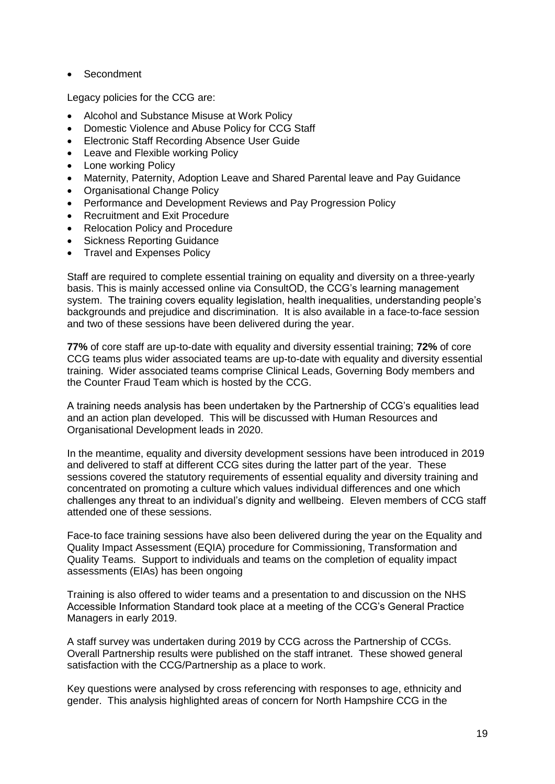Secondment

Legacy policies for the CCG are:

- Alcohol and Substance Misuse at Work Policy
- Domestic Violence and Abuse Policy for CCG Staff
- Electronic Staff Recording Absence User Guide
- Leave and Flexible working Policy
- Lone working Policy
- Maternity, Paternity, Adoption Leave and Shared Parental leave and Pay Guidance
- Organisational Change Policy
- Performance and Development Reviews and Pay Progression Policy
- Recruitment and Exit Procedure
- Relocation Policy and Procedure
- Sickness Reporting Guidance
- Travel and Expenses Policy

Staff are required to complete essential training on equality and diversity on a three-yearly basis. This is mainly accessed online via ConsultOD, the CCG's learning management system. The training covers equality legislation, health inequalities, understanding people's backgrounds and prejudice and discrimination. It is also available in a face-to-face session and two of these sessions have been delivered during the year.

**77%** of core staff are up-to-date with equality and diversity essential training; **72%** of core CCG teams plus wider associated teams are up-to-date with equality and diversity essential training. Wider associated teams comprise Clinical Leads, Governing Body members and the Counter Fraud Team which is hosted by the CCG.

A training needs analysis has been undertaken by the Partnership of CCG's equalities lead and an action plan developed. This will be discussed with Human Resources and Organisational Development leads in 2020.

In the meantime, equality and diversity development sessions have been introduced in 2019 and delivered to staff at different CCG sites during the latter part of the year. These sessions covered the statutory requirements of essential equality and diversity training and concentrated on promoting a culture which values individual differences and one which challenges any threat to an individual's dignity and wellbeing. Eleven members of CCG staff attended one of these sessions.

Face-to face training sessions have also been delivered during the year on the Equality and Quality Impact Assessment (EQIA) procedure for Commissioning, Transformation and Quality Teams. Support to individuals and teams on the completion of equality impact assessments (EIAs) has been ongoing

Training is also offered to wider teams and a presentation to and discussion on the NHS Accessible Information Standard took place at a meeting of the CCG's General Practice Managers in early 2019.

A staff survey was undertaken during 2019 by CCG across the Partnership of CCGs. Overall Partnership results were published on the staff intranet. These showed general satisfaction with the CCG/Partnership as a place to work.

Key questions were analysed by cross referencing with responses to age, ethnicity and gender. This analysis highlighted areas of concern for North Hampshire CCG in the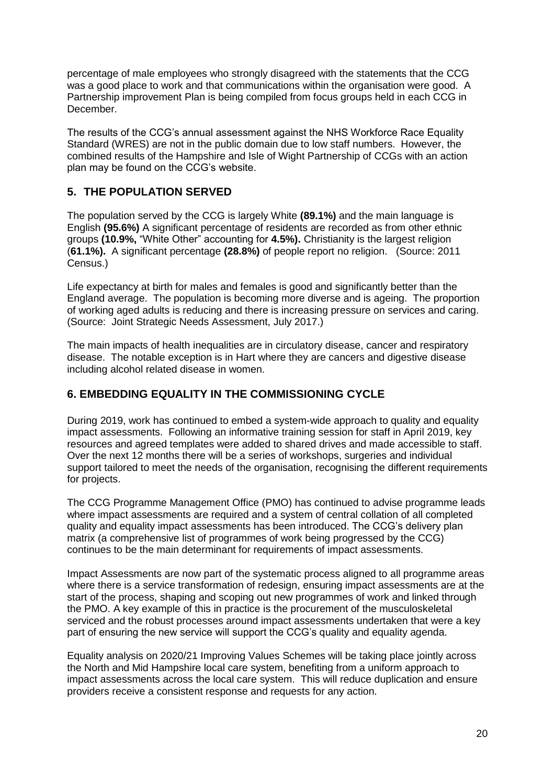percentage of male employees who strongly disagreed with the statements that the CCG was a good place to work and that communications within the organisation were good. A Partnership improvement Plan is being compiled from focus groups held in each CCG in December.

The results of the CCG's annual assessment against the NHS Workforce Race Equality Standard (WRES) are not in the public domain due to low staff numbers. However, the combined results of the Hampshire and Isle of Wight Partnership of CCGs with an action plan may be found on the CCG's website.

# **5. THE POPULATION SERVED**

The population served by the CCG is largely White **(89.1%)** and the main language is English **(95.6%)** A significant percentage of residents are recorded as from other ethnic groups **(10.9%,** "White Other" accounting for **4.5%).** Christianity is the largest religion (**61.1%).** A significant percentage **(28.8%)** of people report no religion. (Source: 2011 Census.)

Life expectancy at birth for males and females is good and significantly better than the England average. The population is becoming more diverse and is ageing. The proportion of working aged adults is reducing and there is increasing pressure on services and caring. (Source: Joint Strategic Needs Assessment, July 2017.)

The main impacts of health inequalities are in circulatory disease, cancer and respiratory disease. The notable exception is in Hart where they are cancers and digestive disease including alcohol related disease in women.

# **6. EMBEDDING EQUALITY IN THE COMMISSIONING CYCLE**

During 2019, work has continued to embed a system-wide approach to quality and equality impact assessments. Following an informative training session for staff in April 2019, key resources and agreed templates were added to shared drives and made accessible to staff. Over the next 12 months there will be a series of workshops, surgeries and individual support tailored to meet the needs of the organisation, recognising the different requirements for projects.

The CCG Programme Management Office (PMO) has continued to advise programme leads where impact assessments are required and a system of central collation of all completed quality and equality impact assessments has been introduced. The CCG's delivery plan matrix (a comprehensive list of programmes of work being progressed by the CCG) continues to be the main determinant for requirements of impact assessments.

Impact Assessments are now part of the systematic process aligned to all programme areas where there is a service transformation of redesign, ensuring impact assessments are at the start of the process, shaping and scoping out new programmes of work and linked through the PMO. A key example of this in practice is the procurement of the musculoskeletal serviced and the robust processes around impact assessments undertaken that were a key part of ensuring the new service will support the CCG's quality and equality agenda.

Equality analysis on 2020/21 Improving Values Schemes will be taking place jointly across the North and Mid Hampshire local care system, benefiting from a uniform approach to impact assessments across the local care system. This will reduce duplication and ensure providers receive a consistent response and requests for any action.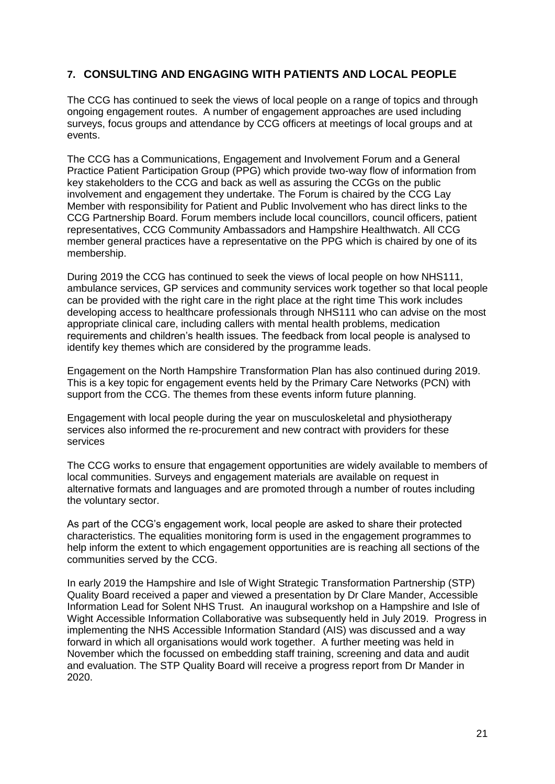# **7. CONSULTING AND ENGAGING WITH PATIENTS AND LOCAL PEOPLE**

The CCG has continued to seek the views of local people on a range of topics and through ongoing engagement routes. A number of engagement approaches are used including surveys, focus groups and attendance by CCG officers at meetings of local groups and at events.

The CCG has a Communications, Engagement and Involvement Forum and a General Practice Patient Participation Group (PPG) which provide two-way flow of information from key stakeholders to the CCG and back as well as assuring the CCGs on the public involvement and engagement they undertake. The Forum is chaired by the CCG Lay Member with responsibility for Patient and Public Involvement who has direct links to the CCG Partnership Board. Forum members include local councillors, council officers, patient representatives, CCG Community Ambassadors and Hampshire Healthwatch. All CCG member general practices have a representative on the PPG which is chaired by one of its membership.

During 2019 the CCG has continued to seek the views of local people on how NHS111, ambulance services, GP services and community services work together so that local people can be provided with the right care in the right place at the right time This work includes developing access to healthcare professionals through NHS111 who can advise on the most appropriate clinical care, including callers with mental health problems, medication requirements and children's health issues. The feedback from local people is analysed to identify key themes which are considered by the programme leads.

Engagement on the North Hampshire Transformation Plan has also continued during 2019. This is a key topic for engagement events held by the Primary Care Networks (PCN) with support from the CCG. The themes from these events inform future planning.

Engagement with local people during the year on musculoskeletal and physiotherapy services also informed the re-procurement and new contract with providers for these services

The CCG works to ensure that engagement opportunities are widely available to members of local communities. Surveys and engagement materials are available on request in alternative formats and languages and are promoted through a number of routes including the voluntary sector.

As part of the CCG's engagement work, local people are asked to share their protected characteristics. The equalities monitoring form is used in the engagement programmes to help inform the extent to which engagement opportunities are is reaching all sections of the communities served by the CCG.

In early 2019 the Hampshire and Isle of Wight Strategic Transformation Partnership (STP) Quality Board received a paper and viewed a presentation by Dr Clare Mander, Accessible Information Lead for Solent NHS Trust. An inaugural workshop on a Hampshire and Isle of Wight Accessible Information Collaborative was subsequently held in July 2019. Progress in implementing the NHS Accessible Information Standard (AIS) was discussed and a way forward in which all organisations would work together. A further meeting was held in November which the focussed on embedding staff training, screening and data and audit and evaluation. The STP Quality Board will receive a progress report from Dr Mander in 2020.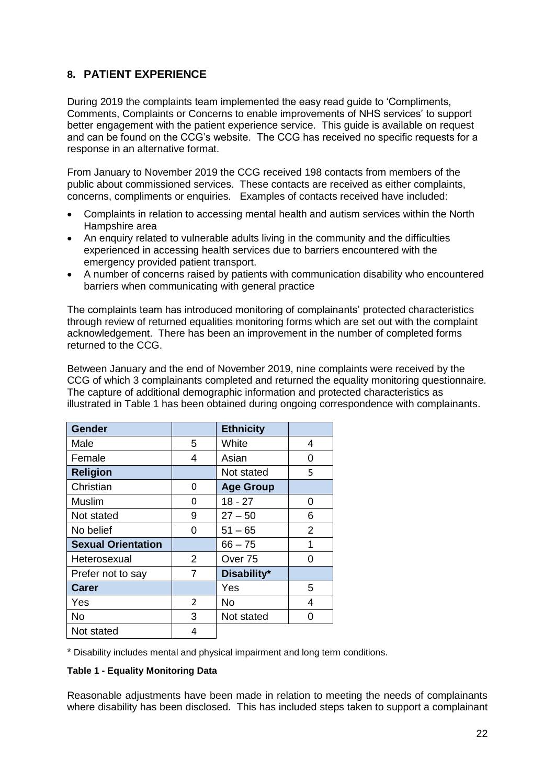# **8. PATIENT EXPERIENCE**

During 2019 the complaints team implemented the easy read guide to 'Compliments, Comments, Complaints or Concerns to enable improvements of NHS services' to support better engagement with the patient experience service. This guide is available on request and can be found on the CCG's website. The CCG has received no specific requests for a response in an alternative format.

From January to November 2019 the CCG received 198 contacts from members of the public about commissioned services. These contacts are received as either complaints, concerns, compliments or enquiries. Examples of contacts received have included:

- Complaints in relation to accessing mental health and autism services within the North Hampshire area
- An enquiry related to vulnerable adults living in the community and the difficulties experienced in accessing health services due to barriers encountered with the emergency provided patient transport.
- A number of concerns raised by patients with communication disability who encountered barriers when communicating with general practice

The complaints team has introduced monitoring of complainants' protected characteristics through review of returned equalities monitoring forms which are set out with the complaint acknowledgement. There has been an improvement in the number of completed forms returned to the CCG.

Between January and the end of November 2019, nine complaints were received by the CCG of which 3 complainants completed and returned the equality monitoring questionnaire. The capture of additional demographic information and protected characteristics as illustrated in Table 1 has been obtained during ongoing correspondence with complainants.

| <b>Gender</b>             |               | <b>Ethnicity</b> |   |
|---------------------------|---------------|------------------|---|
| Male                      | 5             | White            | 4 |
| Female                    | 4             | Asian            | 0 |
| <b>Religion</b>           |               | Not stated       | 5 |
| Christian                 | 0             | <b>Age Group</b> |   |
| Muslim                    | 0             | $18 - 27$        | 0 |
| Not stated                | 9             | $27 - 50$        | 6 |
| No belief                 | ი             | $51 - 65$        | 2 |
| <b>Sexual Orientation</b> |               | $66 - 75$        | 1 |
| Heterosexual              | 2             | Over 75          | ი |
| Prefer not to say         | 7             | Disability*      |   |
| Carer                     |               | Yes              | 5 |
| Yes                       | $\mathcal{P}$ | No               | 4 |
| No                        | 3             | Not stated       | 0 |
| Not stated                | 4             |                  |   |

\* Disability includes mental and physical impairment and long term conditions.

#### **Table 1 - Equality Monitoring Data**

Reasonable adjustments have been made in relation to meeting the needs of complainants where disability has been disclosed. This has included steps taken to support a complainant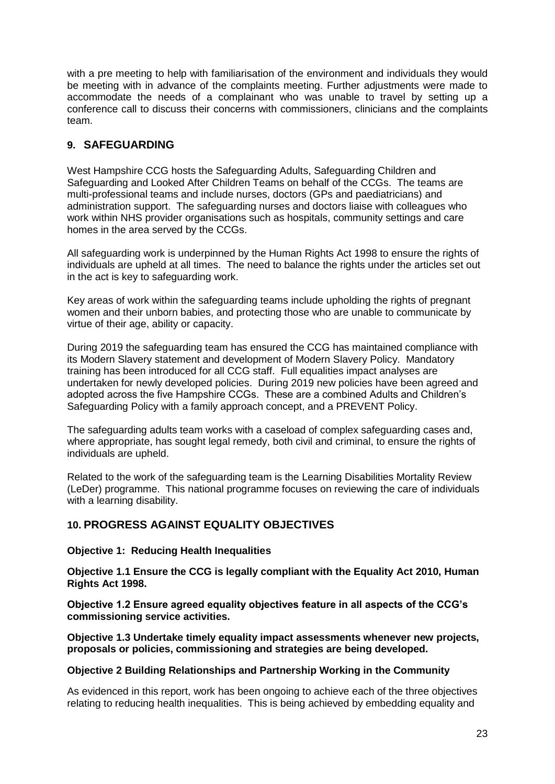with a pre meeting to help with familiarisation of the environment and individuals they would be meeting with in advance of the complaints meeting. Further adjustments were made to accommodate the needs of a complainant who was unable to travel by setting up a conference call to discuss their concerns with commissioners, clinicians and the complaints team.

# **9. SAFEGUARDING**

West Hampshire CCG hosts the Safeguarding Adults, Safeguarding Children and Safeguarding and Looked After Children Teams on behalf of the CCGs. The teams are multi-professional teams and include nurses, doctors (GPs and paediatricians) and administration support. The safeguarding nurses and doctors liaise with colleagues who work within NHS provider organisations such as hospitals, community settings and care homes in the area served by the CCGs.

All safeguarding work is underpinned by the Human Rights Act 1998 to ensure the rights of individuals are upheld at all times. The need to balance the rights under the articles set out in the act is key to safeguarding work.

Key areas of work within the safeguarding teams include upholding the rights of pregnant women and their unborn babies, and protecting those who are unable to communicate by virtue of their age, ability or capacity.

During 2019 the safeguarding team has ensured the CCG has maintained compliance with its Modern Slavery statement and development of Modern Slavery Policy. Mandatory training has been introduced for all CCG staff. Full equalities impact analyses are undertaken for newly developed policies. During 2019 new policies have been agreed and adopted across the five Hampshire CCGs. These are a combined Adults and Children's Safeguarding Policy with a family approach concept, and a PREVENT Policy.

The safeguarding adults team works with a caseload of complex safeguarding cases and, where appropriate, has sought legal remedy, both civil and criminal, to ensure the rights of individuals are upheld.

Related to the work of the safeguarding team is the Learning Disabilities Mortality Review (LeDer) programme. This national programme focuses on reviewing the care of individuals with a learning disability.

# **10. PROGRESS AGAINST EQUALITY OBJECTIVES**

#### **Objective 1: Reducing Health Inequalities**

**Objective 1.1 Ensure the CCG is legally compliant with the Equality Act 2010, Human Rights Act 1998.**

**Objective 1.2 Ensure agreed equality objectives feature in all aspects of the CCG's commissioning service activities.**

**Objective 1.3 Undertake timely equality impact assessments whenever new projects, proposals or policies, commissioning and strategies are being developed.**

#### **Objective 2 Building Relationships and Partnership Working in the Community**

As evidenced in this report, work has been ongoing to achieve each of the three objectives relating to reducing health inequalities. This is being achieved by embedding equality and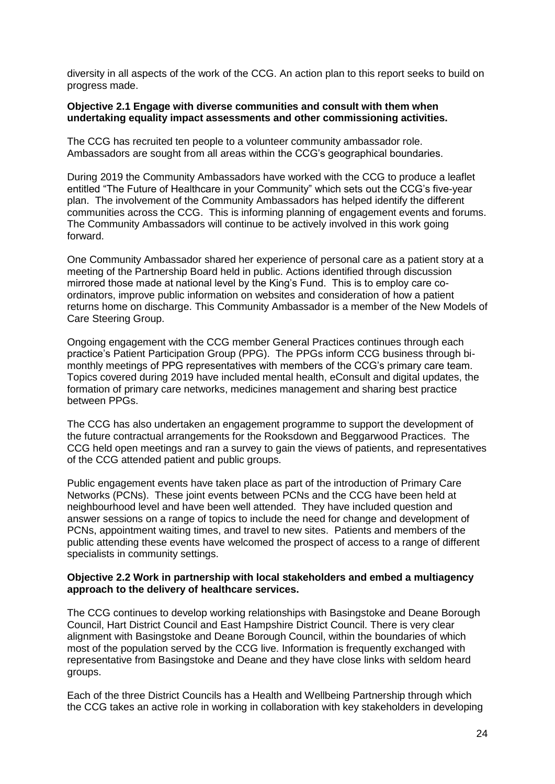diversity in all aspects of the work of the CCG. An action plan to this report seeks to build on progress made.

#### **Objective 2.1 Engage with diverse communities and consult with them when undertaking equality impact assessments and other commissioning activities.**

The CCG has recruited ten people to a volunteer community ambassador role. Ambassadors are sought from all areas within the CCG's geographical boundaries.

During 2019 the Community Ambassadors have worked with the CCG to produce a leaflet entitled "The Future of Healthcare in your Community" which sets out the CCG's five-year plan. The involvement of the Community Ambassadors has helped identify the different communities across the CCG. This is informing planning of engagement events and forums. The Community Ambassadors will continue to be actively involved in this work going forward.

One Community Ambassador shared her experience of personal care as a patient story at a meeting of the Partnership Board held in public. Actions identified through discussion mirrored those made at national level by the King's Fund. This is to employ care coordinators, improve public information on websites and consideration of how a patient returns home on discharge. This Community Ambassador is a member of the New Models of Care Steering Group.

Ongoing engagement with the CCG member General Practices continues through each practice's Patient Participation Group (PPG). The PPGs inform CCG business through bimonthly meetings of PPG representatives with members of the CCG's primary care team. Topics covered during 2019 have included mental health, eConsult and digital updates, the formation of primary care networks, medicines management and sharing best practice between PPGs.

The CCG has also undertaken an engagement programme to support the development of the future contractual arrangements for the Rooksdown and Beggarwood Practices. The CCG held open meetings and ran a survey to gain the views of patients, and representatives of the CCG attended patient and public groups.

Public engagement events have taken place as part of the introduction of Primary Care Networks (PCNs). These joint events between PCNs and the CCG have been held at neighbourhood level and have been well attended. They have included question and answer sessions on a range of topics to include the need for change and development of PCNs, appointment waiting times, and travel to new sites. Patients and members of the public attending these events have welcomed the prospect of access to a range of different specialists in community settings.

#### **Objective 2.2 Work in partnership with local stakeholders and embed a multiagency approach to the delivery of healthcare services.**

The CCG continues to develop working relationships with Basingstoke and Deane Borough Council, Hart District Council and East Hampshire District Council. There is very clear alignment with Basingstoke and Deane Borough Council, within the boundaries of which most of the population served by the CCG live. Information is frequently exchanged with representative from Basingstoke and Deane and they have close links with seldom heard groups.

Each of the three District Councils has a Health and Wellbeing Partnership through which the CCG takes an active role in working in collaboration with key stakeholders in developing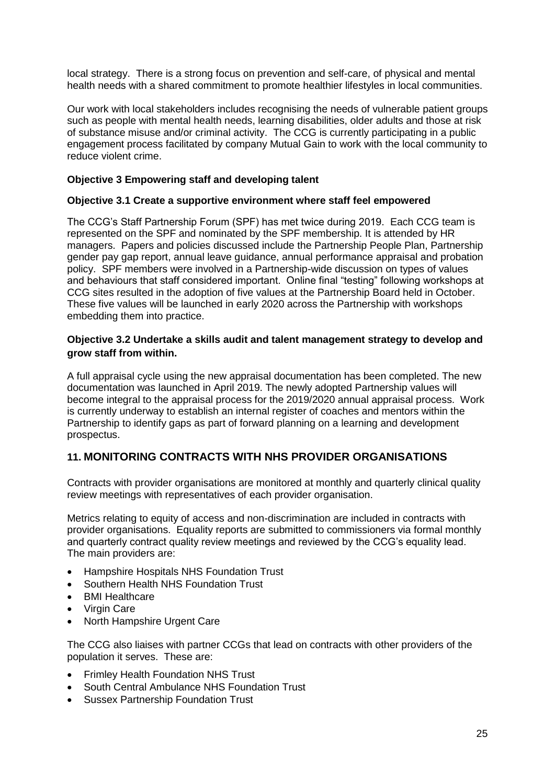local strategy. There is a strong focus on prevention and self-care, of physical and mental health needs with a shared commitment to promote healthier lifestyles in local communities.

Our work with local stakeholders includes recognising the needs of vulnerable patient groups such as people with mental health needs, learning disabilities, older adults and those at risk of substance misuse and/or criminal activity. The CCG is currently participating in a public engagement process facilitated by company Mutual Gain to work with the local community to reduce violent crime.

#### **Objective 3 Empowering staff and developing talent**

#### **Objective 3.1 Create a supportive environment where staff feel empowered**

The CCG's Staff Partnership Forum (SPF) has met twice during 2019. Each CCG team is represented on the SPF and nominated by the SPF membership. It is attended by HR managers. Papers and policies discussed include the Partnership People Plan, Partnership gender pay gap report, annual leave guidance, annual performance appraisal and probation policy. SPF members were involved in a Partnership-wide discussion on types of values and behaviours that staff considered important. Online final "testing" following workshops at CCG sites resulted in the adoption of five values at the Partnership Board held in October. These five values will be launched in early 2020 across the Partnership with workshops embedding them into practice.

#### **Objective 3.2 Undertake a skills audit and talent management strategy to develop and grow staff from within.**

A full appraisal cycle using the new appraisal documentation has been completed. The new documentation was launched in April 2019. The newly adopted Partnership values will become integral to the appraisal process for the 2019/2020 annual appraisal process. Work is currently underway to establish an internal register of coaches and mentors within the Partnership to identify gaps as part of forward planning on a learning and development prospectus.

# **11. MONITORING CONTRACTS WITH NHS PROVIDER ORGANISATIONS**

Contracts with provider organisations are monitored at monthly and quarterly clinical quality review meetings with representatives of each provider organisation.

Metrics relating to equity of access and non-discrimination are included in contracts with provider organisations. Equality reports are submitted to commissioners via formal monthly and quarterly contract quality review meetings and reviewed by the CCG's equality lead. The main providers are:

- Hampshire Hospitals NHS Foundation Trust
- Southern Health NHS Foundation Trust
- BMI Healthcare
- Virgin Care
- North Hampshire Urgent Care

The CCG also liaises with partner CCGs that lead on contracts with other providers of the population it serves. These are:

- Frimley Health Foundation NHS Trust
- South Central Ambulance NHS Foundation Trust
- Sussex Partnership Foundation Trust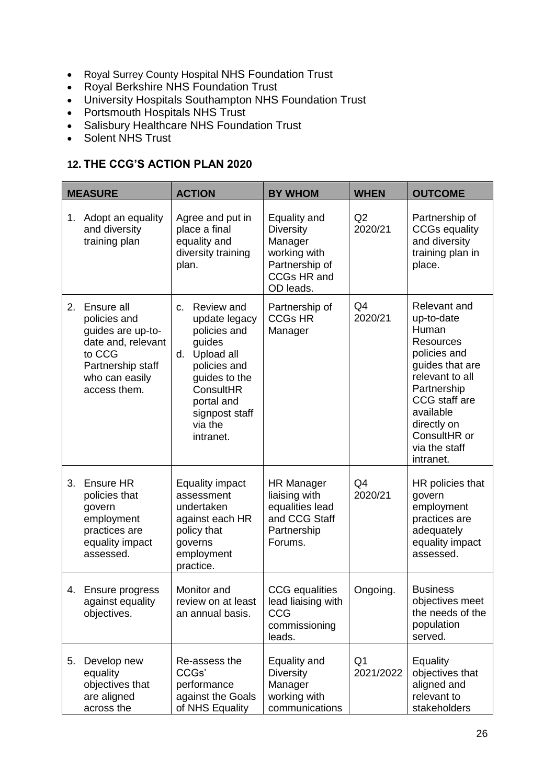- Royal Surrey County Hospital NHS Foundation Trust
- Royal Berkshire NHS Foundation Trust
- University Hospitals Southampton NHS Foundation Trust
- Portsmouth Hospitals NHS Trust
- Salisbury Healthcare NHS Foundation Trust
- Solent NHS Trust

# **12. THE CCG'S ACTION PLAN 2020**

| <b>MEASURE</b> |                                                                                                                                        | <b>ACTION</b>                                                                                                                                                                         | <b>BY WHOM</b>                                                                                                   | <b>WHEN</b>                 | <b>OUTCOME</b>                                                                                                                                                                                                          |
|----------------|----------------------------------------------------------------------------------------------------------------------------------------|---------------------------------------------------------------------------------------------------------------------------------------------------------------------------------------|------------------------------------------------------------------------------------------------------------------|-----------------------------|-------------------------------------------------------------------------------------------------------------------------------------------------------------------------------------------------------------------------|
| 1.             | Adopt an equality<br>and diversity<br>training plan                                                                                    | Agree and put in<br>place a final<br>equality and<br>diversity training<br>plan.                                                                                                      | Equality and<br><b>Diversity</b><br>Manager<br>working with<br>Partnership of<br><b>CCGs HR and</b><br>OD leads. | Q2<br>2020/21               | Partnership of<br><b>CCGs equality</b><br>and diversity<br>training plan in<br>place.                                                                                                                                   |
| 2.             | Ensure all<br>policies and<br>guides are up-to-<br>date and, relevant<br>to CCG<br>Partnership staff<br>who can easily<br>access them. | Review and<br>C.<br>update legacy<br>policies and<br>guides<br>Upload all<br>d.<br>policies and<br>guides to the<br>ConsultHR<br>portal and<br>signpost staff<br>via the<br>intranet. | Partnership of<br><b>CCGs HR</b><br>Manager                                                                      | Q4<br>2020/21               | Relevant and<br>up-to-date<br>Human<br><b>Resources</b><br>policies and<br>guides that are<br>relevant to all<br>Partnership<br>CCG staff are<br>available<br>directly on<br>ConsultHR or<br>via the staff<br>intranet. |
| 3.             | Ensure HR<br>policies that<br>govern<br>employment<br>practices are<br>equality impact<br>assessed.                                    | <b>Equality impact</b><br>assessment<br>undertaken<br>against each HR<br>policy that<br>governs<br>employment<br>practice.                                                            | <b>HR Manager</b><br>liaising with<br>equalities lead<br>and CCG Staff<br>Partnership<br>Forums.                 | Q4<br>2020/21               | HR policies that<br>govern<br>employment<br>practices are<br>adequately<br>equality impact<br>assessed.                                                                                                                 |
|                | 4. Ensure progress<br>against equality<br>objectives.                                                                                  | Monitor and<br>review on at least<br>an annual basis.                                                                                                                                 | <b>CCG</b> equalities<br>lead liaising with<br>CCG<br>commissioning<br>leads.                                    | Ongoing.                    | <b>Business</b><br>objectives meet<br>the needs of the<br>population<br>served.                                                                                                                                         |
| 5.             | Develop new<br>equality<br>objectives that<br>are aligned<br>across the                                                                | Re-assess the<br>CCGs'<br>performance<br>against the Goals<br>of NHS Equality                                                                                                         | Equality and<br><b>Diversity</b><br>Manager<br>working with<br>communications                                    | Q <sub>1</sub><br>2021/2022 | Equality<br>objectives that<br>aligned and<br>relevant to<br>stakeholders                                                                                                                                               |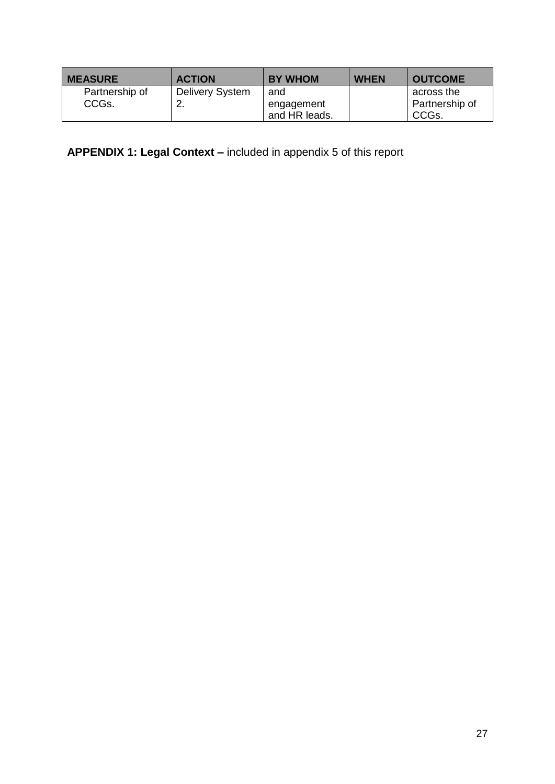| <b>MEASURE</b>          | <b>ACTION</b>                | <b>BY WHOM</b>                     | <b>WHEN</b> | <b>OUTCOME</b>                        |
|-------------------------|------------------------------|------------------------------------|-------------|---------------------------------------|
| Partnership of<br>CCGs. | <b>Delivery System</b><br>۷. | and<br>engagement<br>and HR leads. |             | across the<br>Partnership of<br>CCGs. |

**APPENDIX 1: Legal Context –** included in appendix 5 of this report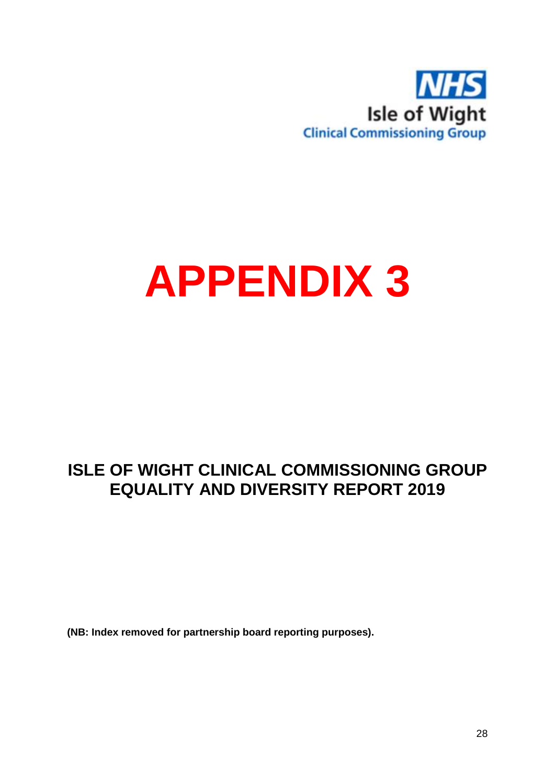

# **APPENDIX 3**

# **ISLE OF WIGHT CLINICAL COMMISSIONING GROUP EQUALITY AND DIVERSITY REPORT 2019**

**(NB: Index removed for partnership board reporting purposes).**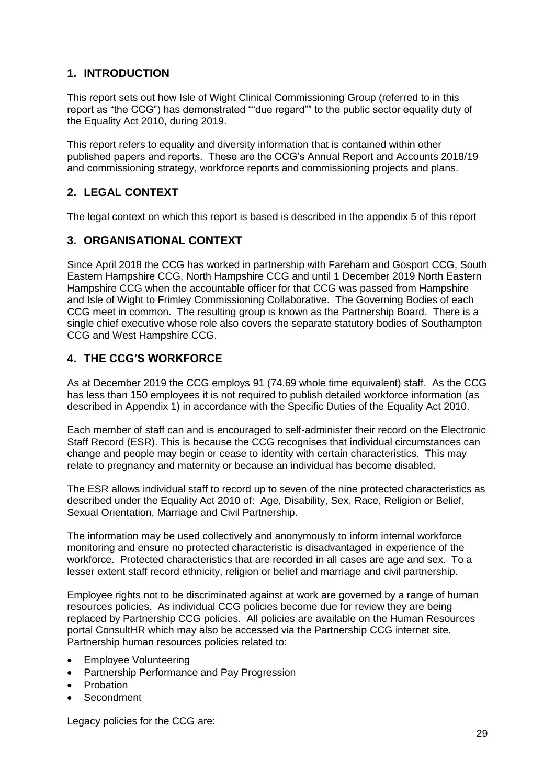# **1. INTRODUCTION**

This report sets out how Isle of Wight Clinical Commissioning Group (referred to in this report as "the CCG") has demonstrated ""due regard"" to the public sector equality duty of the Equality Act 2010, during 2019.

This report refers to equality and diversity information that is contained within other published papers and reports. These are the CCG's Annual Report and Accounts 2018/19 and commissioning strategy, workforce reports and commissioning projects and plans.

# **2. LEGAL CONTEXT**

The legal context on which this report is based is described in the appendix 5 of this report

# **3. ORGANISATIONAL CONTEXT**

Since April 2018 the CCG has worked in partnership with Fareham and Gosport CCG, South Eastern Hampshire CCG, North Hampshire CCG and until 1 December 2019 North Eastern Hampshire CCG when the accountable officer for that CCG was passed from Hampshire and Isle of Wight to Frimley Commissioning Collaborative. The Governing Bodies of each CCG meet in common. The resulting group is known as the Partnership Board. There is a single chief executive whose role also covers the separate statutory bodies of Southampton CCG and West Hampshire CCG.

# **4. THE CCG'S WORKFORCE**

As at December 2019 the CCG employs 91 (74.69 whole time equivalent) staff. As the CCG has less than 150 employees it is not required to publish detailed workforce information (as described in Appendix 1) in accordance with the Specific Duties of the Equality Act 2010.

Each member of staff can and is encouraged to self-administer their record on the Electronic Staff Record (ESR). This is because the CCG recognises that individual circumstances can change and people may begin or cease to identity with certain characteristics. This may relate to pregnancy and maternity or because an individual has become disabled.

The ESR allows individual staff to record up to seven of the nine protected characteristics as described under the Equality Act 2010 of: Age, Disability, Sex, Race, Religion or Belief, Sexual Orientation, Marriage and Civil Partnership.

The information may be used collectively and anonymously to inform internal workforce monitoring and ensure no protected characteristic is disadvantaged in experience of the workforce. Protected characteristics that are recorded in all cases are age and sex. To a lesser extent staff record ethnicity, religion or belief and marriage and civil partnership.

Employee rights not to be discriminated against at work are governed by a range of human resources policies. As individual CCG policies become due for review they are being replaced by Partnership CCG policies. All policies are available on the Human Resources portal ConsultHR which may also be accessed via the Partnership CCG internet site. Partnership human resources policies related to:

- Employee Volunteering
- Partnership Performance and Pay Progression
- **•** Probation
- Secondment

Legacy policies for the CCG are: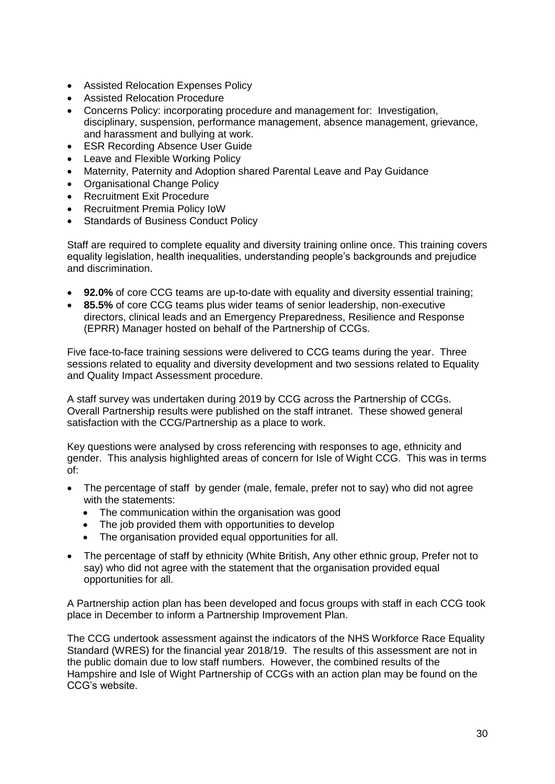- Assisted Relocation Expenses Policy
- Assisted Relocation Procedure
- Concerns Policy: incorporating procedure and management for: Investigation, disciplinary, suspension, performance management, absence management, grievance, and harassment and bullying at work.
- ESR Recording Absence User Guide
- Leave and Flexible Working Policy
- Maternity, Paternity and Adoption shared Parental Leave and Pay Guidance
- Organisational Change Policy
- Recruitment Exit Procedure
- Recruitment Premia Policy IoW
- Standards of Business Conduct Policy

Staff are required to complete equality and diversity training online once. This training covers equality legislation, health inequalities, understanding people's backgrounds and prejudice and discrimination.

- **92.0%** of core CCG teams are up-to-date with equality and diversity essential training;
- **85.5%** of core CCG teams plus wider teams of senior leadership, non-executive directors, clinical leads and an Emergency Preparedness, Resilience and Response (EPRR) Manager hosted on behalf of the Partnership of CCGs.

Five face-to-face training sessions were delivered to CCG teams during the year. Three sessions related to equality and diversity development and two sessions related to Equality and Quality Impact Assessment procedure.

A staff survey was undertaken during 2019 by CCG across the Partnership of CCGs. Overall Partnership results were published on the staff intranet. These showed general satisfaction with the CCG/Partnership as a place to work.

Key questions were analysed by cross referencing with responses to age, ethnicity and gender. This analysis highlighted areas of concern for Isle of Wight CCG. This was in terms of:

- The percentage of staff by gender (male, female, prefer not to say) who did not agree with the statements:
	- The communication within the organisation was good
	- The job provided them with opportunities to develop
	- The organisation provided equal opportunities for all.
- The percentage of staff by ethnicity (White British, Any other ethnic group, Prefer not to say) who did not agree with the statement that the organisation provided equal opportunities for all.

A Partnership action plan has been developed and focus groups with staff in each CCG took place in December to inform a Partnership Improvement Plan.

The CCG undertook assessment against the indicators of the NHS Workforce Race Equality Standard (WRES) for the financial year 2018/19. The results of this assessment are not in the public domain due to low staff numbers. However, the combined results of the Hampshire and Isle of Wight Partnership of CCGs with an action plan may be found on the CCG's website.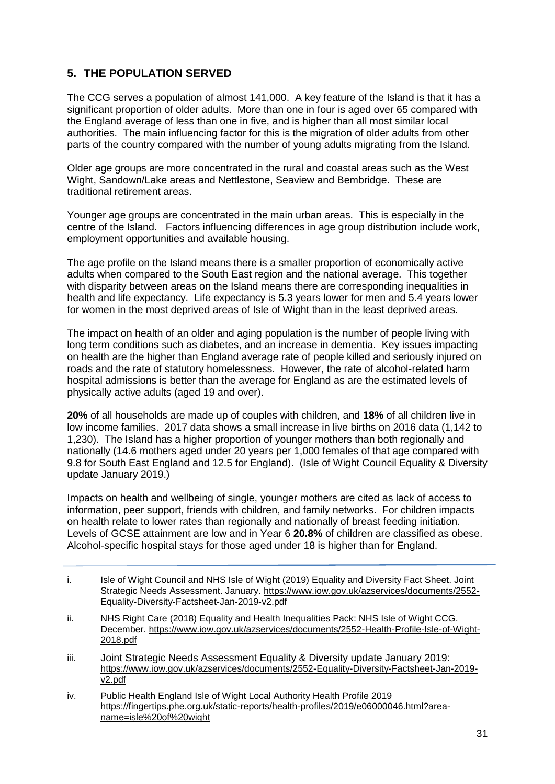# **5. THE POPULATION SERVED**

The CCG serves a population of almost 141,000. A key feature of the Island is that it has a significant proportion of older adults. More than one in four is aged over 65 compared with the England average of less than one in five, and is higher than all most similar local authorities. The main influencing factor for this is the migration of older adults from other parts of the country compared with the number of young adults migrating from the Island.

Older age groups are more concentrated in the rural and coastal areas such as the West Wight, Sandown/Lake areas and Nettlestone, Seaview and Bembridge. These are traditional retirement areas.

Younger age groups are concentrated in the main urban areas. This is especially in the centre of the Island. Factors influencing differences in age group distribution include work, employment opportunities and available housing.

The age profile on the Island means there is a smaller proportion of economically active adults when compared to the South East region and the national average. This together with disparity between areas on the Island means there are corresponding inequalities in health and life expectancy. Life expectancy is 5.3 years lower for men and 5.4 years lower for women in the most deprived areas of Isle of Wight than in the least deprived areas.

The impact on health of an older and aging population is the number of people living with long term conditions such as diabetes, and an increase in dementia. Key issues impacting on health are the higher than England average rate of people killed and seriously injured on roads and the rate of statutory homelessness. However, the rate of alcohol-related harm hospital admissions is better than the average for England as are the estimated levels of physically active adults (aged 19 and over).

**20%** of all households are made up of couples with children, and **18%** of all children live in low income families. 2017 data shows a small increase in live births on 2016 data (1,142 to 1,230). The Island has a higher proportion of younger mothers than both regionally and nationally (14.6 mothers aged under 20 years per 1,000 females of that age compared with 9.8 for South East England and 12.5 for England). (Isle of Wight Council Equality & Diversity update January 2019.)

Impacts on health and wellbeing of single, younger mothers are cited as lack of access to information, peer support, friends with children, and family networks. For children impacts on health relate to lower rates than regionally and nationally of breast feeding initiation. Levels of GCSE attainment are low and in Year 6 **20.8%** of children are classified as obese. Alcohol-specific hospital stays for those aged under 18 is higher than for England.

- i. Isle of Wight Council and NHS Isle of Wight (2019) Equality and Diversity Fact Sheet. Joint Strategic Needs Assessment. January. [https://www.iow.gov.uk/azservices/documents/2552-](https://www.iow.gov.uk/azservices/documents/2552-Equality-Diversity-Factsheet-Jan-2019-v2.pdf) [Equality-Diversity-Factsheet-Jan-2019-v2.pdf](https://www.iow.gov.uk/azservices/documents/2552-Equality-Diversity-Factsheet-Jan-2019-v2.pdf)
- ii. NHS Right Care (2018) Equality and Health Inequalities Pack: NHS Isle of Wight CCG. December. [https://www.iow.gov.uk/azservices/documents/2552-Health-Profile-Isle-of-Wight-](https://www.iow.gov.uk/azservices/documents/2552-Health-Profile-Isle-of-Wight-2018.pdf)[2018.pdf](https://www.iow.gov.uk/azservices/documents/2552-Health-Profile-Isle-of-Wight-2018.pdf)
- iii. Joint Strategic Needs Assessment Equality & Diversity update January 2019: [https://www.iow.gov.uk/azservices/documents/2552-Equality-Diversity-Factsheet-Jan-2019](https://www.iow.gov.uk/azservices/documents/2552-Equality-Diversity-Factsheet-Jan-2019-v2.pdf) [v2.pdf](https://www.iow.gov.uk/azservices/documents/2552-Equality-Diversity-Factsheet-Jan-2019-v2.pdf)
- iv. Public Health England Isle of Wight Local Authority Health Profile 2019 [https://fingertips.phe.org.uk/static-reports/health-profiles/2019/e06000046.html?area](https://fingertips.phe.org.uk/static-reports/health-profiles/2019/e06000046.html?area-name=isle%20of%20wight)[name=isle%20of%20wight](https://fingertips.phe.org.uk/static-reports/health-profiles/2019/e06000046.html?area-name=isle%20of%20wight)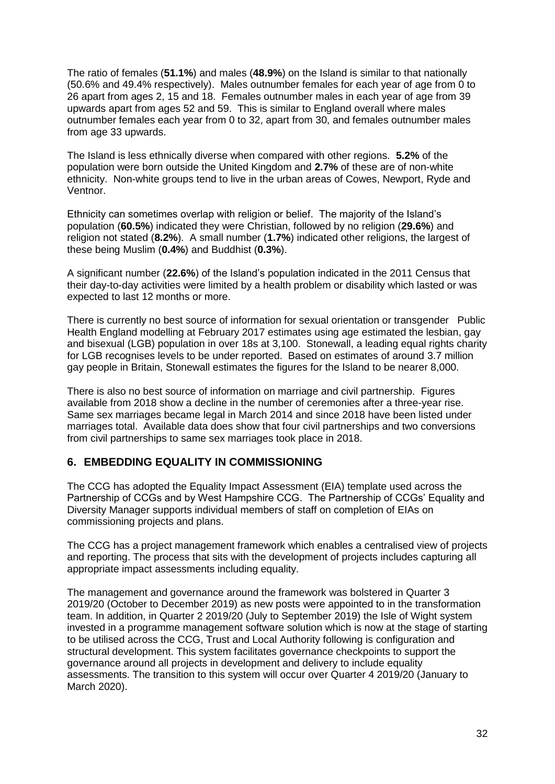The ratio of females (**51.1%**) and males (**48.9%**) on the Island is similar to that nationally (50.6% and 49.4% respectively). Males outnumber females for each year of age from 0 to 26 apart from ages 2, 15 and 18. Females outnumber males in each year of age from 39 upwards apart from ages 52 and 59. This is similar to England overall where males outnumber females each year from 0 to 32, apart from 30, and females outnumber males from age 33 upwards.

The Island is less ethnically diverse when compared with other regions. **5.2%** of the population were born outside the United Kingdom and **2.7%** of these are of non-white ethnicity. Non-white groups tend to live in the urban areas of Cowes, Newport, Ryde and Ventnor.

Ethnicity can sometimes overlap with religion or belief. The majority of the Island's population (**60.5%**) indicated they were Christian, followed by no religion (**29.6%**) and religion not stated (**8.2%**). A small number (**1.7%**) indicated other religions, the largest of these being Muslim (**0.4%**) and Buddhist (**0.3%**).

A significant number (**22.6%**) of the Island's population indicated in the 2011 Census that their day-to-day activities were limited by a health problem or disability which lasted or was expected to last 12 months or more.

There is currently no best source of information for sexual orientation or transgender Public Health England modelling at February 2017 estimates using age estimated the lesbian, gay and bisexual (LGB) population in over 18s at 3,100. Stonewall, a leading equal rights charity for LGB recognises levels to be under reported. Based on estimates of around 3.7 million gay people in Britain, Stonewall estimates the figures for the Island to be nearer 8,000.

There is also no best source of information on marriage and civil partnership. Figures available from 2018 show a decline in the number of ceremonies after a three-year rise. Same sex marriages became legal in March 2014 and since 2018 have been listed under marriages total. Available data does show that four civil partnerships and two conversions from civil partnerships to same sex marriages took place in 2018.

# **6. EMBEDDING EQUALITY IN COMMISSIONING**

The CCG has adopted the Equality Impact Assessment (EIA) template used across the Partnership of CCGs and by West Hampshire CCG. The Partnership of CCGs' Equality and Diversity Manager supports individual members of staff on completion of EIAs on commissioning projects and plans.

The CCG has a project management framework which enables a centralised view of projects and reporting. The process that sits with the development of projects includes capturing all appropriate impact assessments including equality.

The management and governance around the framework was bolstered in Quarter 3 2019/20 (October to December 2019) as new posts were appointed to in the transformation team. In addition, in Quarter 2 2019/20 (July to September 2019) the Isle of Wight system invested in a programme management software solution which is now at the stage of starting to be utilised across the CCG, Trust and Local Authority following is configuration and structural development. This system facilitates governance checkpoints to support the governance around all projects in development and delivery to include equality assessments. The transition to this system will occur over Quarter 4 2019/20 (January to March 2020).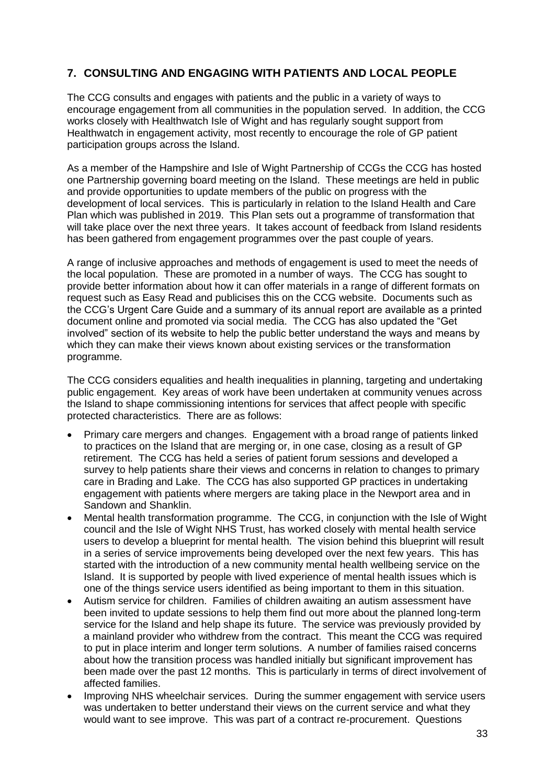# **7. CONSULTING AND ENGAGING WITH PATIENTS AND LOCAL PEOPLE**

The CCG consults and engages with patients and the public in a variety of ways to encourage engagement from all communities in the population served. In addition, the CCG works closely with Healthwatch Isle of Wight and has regularly sought support from Healthwatch in engagement activity, most recently to encourage the role of GP patient participation groups across the Island.

As a member of the Hampshire and Isle of Wight Partnership of CCGs the CCG has hosted one Partnership governing board meeting on the Island. These meetings are held in public and provide opportunities to update members of the public on progress with the development of local services. This is particularly in relation to the Island Health and Care Plan which was published in 2019. This Plan sets out a programme of transformation that will take place over the next three years. It takes account of feedback from Island residents has been gathered from engagement programmes over the past couple of years.

A range of inclusive approaches and methods of engagement is used to meet the needs of the local population. These are promoted in a number of ways. The CCG has sought to provide better information about how it can offer materials in a range of different formats on request such as Easy Read and publicises this on the CCG website. Documents such as the CCG's Urgent Care Guide and a summary of its annual report are available as a printed document online and promoted via social media. The CCG has also updated the "Get involved" section of its website to help the public better understand the ways and means by which they can make their views known about existing services or the transformation programme.

The CCG considers equalities and health inequalities in planning, targeting and undertaking public engagement. Key areas of work have been undertaken at community venues across the Island to shape commissioning intentions for services that affect people with specific protected characteristics. There are as follows:

- Primary care mergers and changes. Engagement with a broad range of patients linked to practices on the Island that are merging or, in one case, closing as a result of GP retirement. The CCG has held a series of patient forum sessions and developed a survey to help patients share their views and concerns in relation to changes to primary care in Brading and Lake. The CCG has also supported GP practices in undertaking engagement with patients where mergers are taking place in the Newport area and in Sandown and Shanklin.
- Mental health transformation programme. The CCG, in conjunction with the Isle of Wight council and the Isle of Wight NHS Trust, has worked closely with mental health service users to develop a blueprint for mental health. The vision behind this blueprint will result in a series of service improvements being developed over the next few years. This has started with the introduction of a new community mental health wellbeing service on the Island. It is supported by people with lived experience of mental health issues which is one of the things service users identified as being important to them in this situation.
- Autism service for children. Families of children awaiting an autism assessment have been invited to update sessions to help them find out more about the planned long-term service for the Island and help shape its future. The service was previously provided by a mainland provider who withdrew from the contract. This meant the CCG was required to put in place interim and longer term solutions. A number of families raised concerns about how the transition process was handled initially but significant improvement has been made over the past 12 months. This is particularly in terms of direct involvement of affected families.
- Improving NHS wheelchair services. During the summer engagement with service users was undertaken to better understand their views on the current service and what they would want to see improve. This was part of a contract re-procurement. Questions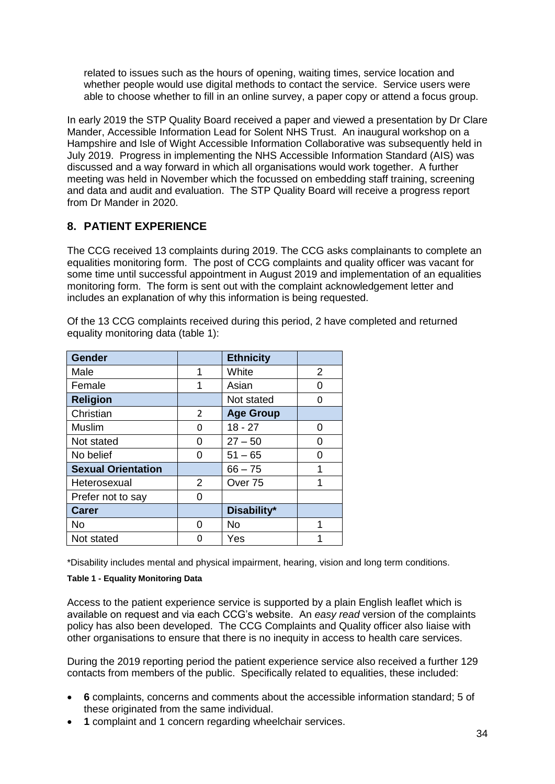related to issues such as the hours of opening, waiting times, service location and whether people would use digital methods to contact the service. Service users were able to choose whether to fill in an online survey, a paper copy or attend a focus group.

In early 2019 the STP Quality Board received a paper and viewed a presentation by Dr Clare Mander, Accessible Information Lead for Solent NHS Trust. An inaugural workshop on a Hampshire and Isle of Wight Accessible Information Collaborative was subsequently held in July 2019. Progress in implementing the NHS Accessible Information Standard (AIS) was discussed and a way forward in which all organisations would work together. A further meeting was held in November which the focussed on embedding staff training, screening and data and audit and evaluation. The STP Quality Board will receive a progress report from Dr Mander in 2020.

# **8. PATIENT EXPERIENCE**

The CCG received 13 complaints during 2019. The CCG asks complainants to complete an equalities monitoring form. The post of CCG complaints and quality officer was vacant for some time until successful appointment in August 2019 and implementation of an equalities monitoring form. The form is sent out with the complaint acknowledgement letter and includes an explanation of why this information is being requested.

| <b>Gender</b>             |   | <b>Ethnicity</b>   |   |  |  |
|---------------------------|---|--------------------|---|--|--|
| Male                      | 1 | White              | 2 |  |  |
| Female                    | 1 | Asian              | 0 |  |  |
| <b>Religion</b>           |   | Not stated         | 0 |  |  |
| Christian                 | 2 | <b>Age Group</b>   |   |  |  |
| <b>Muslim</b>             | 0 | $18 - 27$          | 0 |  |  |
| Not stated                | 0 | $27 - 50$          | 0 |  |  |
| No belief                 | 0 | $51 - 65$          | 0 |  |  |
| <b>Sexual Orientation</b> |   | $66 - 75$          |   |  |  |
| Heterosexual              | 2 | Over <sub>75</sub> | 1 |  |  |
| Prefer not to say         | U |                    |   |  |  |
| <b>Carer</b>              |   | Disability*        |   |  |  |
| No                        |   | No                 |   |  |  |

Of the 13 CCG complaints received during this period, 2 have completed and returned equality monitoring data (table 1):

\*Disability includes mental and physical impairment, hearing, vision and long term conditions.

#### **Table 1 - Equality Monitoring Data**

Not stated 0 Yes

Access to the patient experience service is supported by a plain English leaflet which is available on request and via each CCG's website. An *easy read* version of the complaints policy has also been developed. The CCG Complaints and Quality officer also liaise with other organisations to ensure that there is no inequity in access to health care services.

During the 2019 reporting period the patient experience service also received a further 129 contacts from members of the public. Specifically related to equalities, these included:

- **6** complaints, concerns and comments about the accessible information standard; 5 of these originated from the same individual.
- **1** complaint and 1 concern regarding wheelchair services.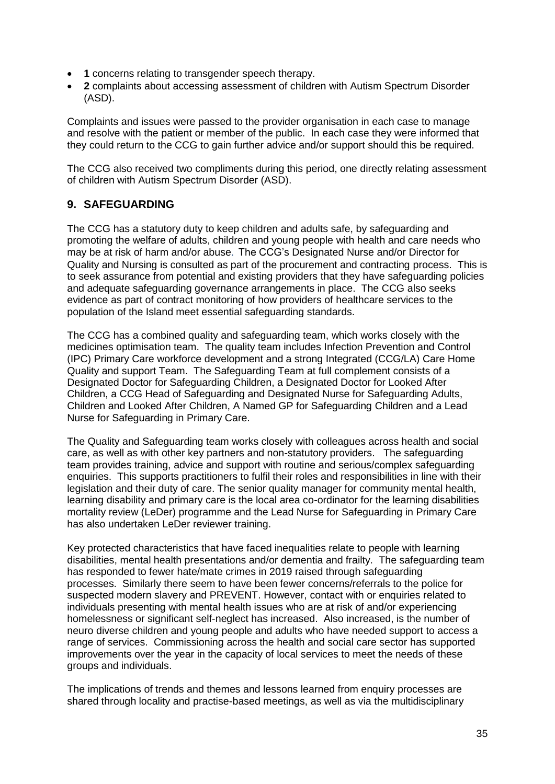- **1** concerns relating to transgender speech therapy.
- **2** complaints about accessing assessment of children with Autism Spectrum Disorder (ASD).

Complaints and issues were passed to the provider organisation in each case to manage and resolve with the patient or member of the public. In each case they were informed that they could return to the CCG to gain further advice and/or support should this be required.

The CCG also received two compliments during this period, one directly relating assessment of children with Autism Spectrum Disorder (ASD).

# **9. SAFEGUARDING**

The CCG has a statutory duty to keep children and adults safe, by safeguarding and promoting the welfare of adults, children and young people with health and care needs who may be at risk of harm and/or abuse. The CCG's Designated Nurse and/or Director for Quality and Nursing is consulted as part of the procurement and contracting process. This is to seek assurance from potential and existing providers that they have safeguarding policies and adequate safeguarding governance arrangements in place. The CCG also seeks evidence as part of contract monitoring of how providers of healthcare services to the population of the Island meet essential safeguarding standards.

The CCG has a combined quality and safeguarding team, which works closely with the medicines optimisation team. The quality team includes Infection Prevention and Control (IPC) Primary Care workforce development and a strong Integrated (CCG/LA) Care Home Quality and support Team. The Safeguarding Team at full complement consists of a Designated Doctor for Safeguarding Children, a Designated Doctor for Looked After Children, a CCG Head of Safeguarding and Designated Nurse for Safeguarding Adults, Children and Looked After Children, A Named GP for Safeguarding Children and a Lead Nurse for Safeguarding in Primary Care.

The Quality and Safeguarding team works closely with colleagues across health and social care, as well as with other key partners and non-statutory providers. The safeguarding team provides training, advice and support with routine and serious/complex safeguarding enquiries. This supports practitioners to fulfil their roles and responsibilities in line with their legislation and their duty of care. The senior quality manager for community mental health, learning disability and primary care is the local area co-ordinator for the learning disabilities mortality review (LeDer) programme and the Lead Nurse for Safeguarding in Primary Care has also undertaken LeDer reviewer training.

Key protected characteristics that have faced inequalities relate to people with learning disabilities, mental health presentations and/or dementia and frailty. The safeguarding team has responded to fewer hate/mate crimes in 2019 raised through safeguarding processes. Similarly there seem to have been fewer concerns/referrals to the police for suspected modern slavery and PREVENT. However, contact with or enquiries related to individuals presenting with mental health issues who are at risk of and/or experiencing homelessness or significant self-neglect has increased. Also increased, is the number of neuro diverse children and young people and adults who have needed support to access a range of services. Commissioning across the health and social care sector has supported improvements over the year in the capacity of local services to meet the needs of these groups and individuals.

The implications of trends and themes and lessons learned from enquiry processes are shared through locality and practise-based meetings, as well as via the multidisciplinary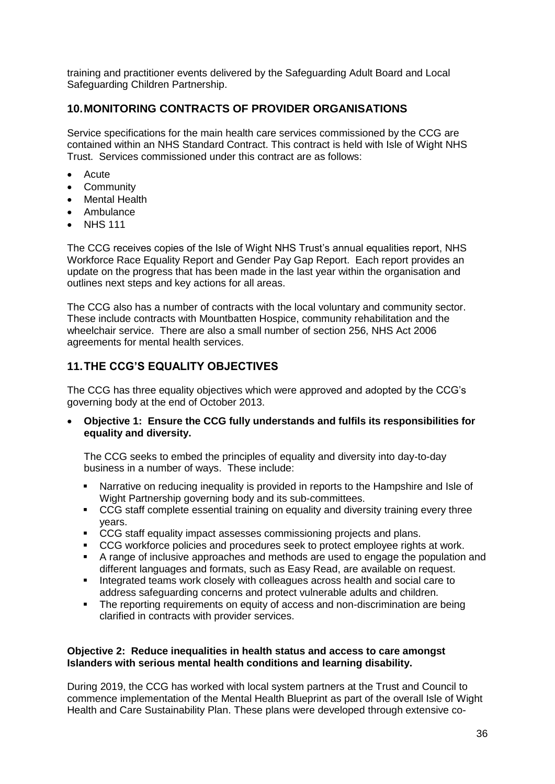training and practitioner events delivered by the Safeguarding Adult Board and Local Safeguarding Children Partnership.

# **10.MONITORING CONTRACTS OF PROVIDER ORGANISATIONS**

Service specifications for the main health care services commissioned by the CCG are contained within an NHS Standard Contract. This contract is held with Isle of Wight NHS Trust. Services commissioned under this contract are as follows:

- Acute
- Community
- Mental Health
- Ambulance
- NHS 111

The CCG receives copies of the Isle of Wight NHS Trust's annual equalities report, NHS Workforce Race Equality Report and Gender Pay Gap Report. Each report provides an update on the progress that has been made in the last year within the organisation and outlines next steps and key actions for all areas.

The CCG also has a number of contracts with the local voluntary and community sector. These include contracts with Mountbatten Hospice, community rehabilitation and the wheelchair service. There are also a small number of section 256, NHS Act 2006 agreements for mental health services.

# **11.THE CCG'S EQUALITY OBJECTIVES**

The CCG has three equality objectives which were approved and adopted by the CCG's governing body at the end of October 2013.

 **Objective 1: Ensure the CCG fully understands and fulfils its responsibilities for equality and diversity.**

The CCG seeks to embed the principles of equality and diversity into day-to-day business in a number of ways. These include:

- Narrative on reducing inequality is provided in reports to the Hampshire and Isle of Wight Partnership governing body and its sub-committees.
- CCG staff complete essential training on equality and diversity training every three years.
- CCG staff equality impact assesses commissioning projects and plans.
- CCG workforce policies and procedures seek to protect employee rights at work.
- A range of inclusive approaches and methods are used to engage the population and different languages and formats, such as Easy Read, are available on request.
- **Integrated teams work closely with colleagues across health and social care to** address safeguarding concerns and protect vulnerable adults and children.
- The reporting requirements on equity of access and non-discrimination are being clarified in contracts with provider services.

#### **Objective 2: Reduce inequalities in health status and access to care amongst Islanders with serious mental health conditions and learning disability.**

During 2019, the CCG has worked with local system partners at the Trust and Council to commence implementation of the Mental Health Blueprint as part of the overall Isle of Wight Health and Care Sustainability Plan. These plans were developed through extensive co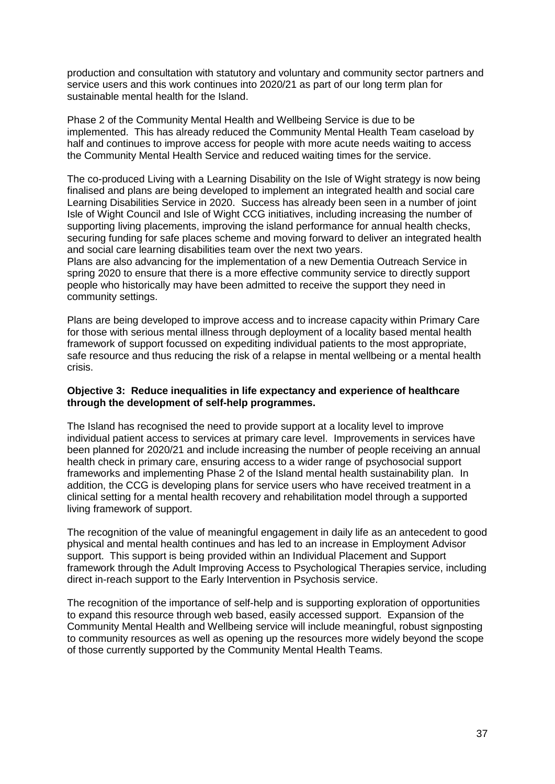production and consultation with statutory and voluntary and community sector partners and service users and this work continues into 2020/21 as part of our long term plan for sustainable mental health for the Island.

Phase 2 of the Community Mental Health and Wellbeing Service is due to be implemented. This has already reduced the Community Mental Health Team caseload by half and continues to improve access for people with more acute needs waiting to access the Community Mental Health Service and reduced waiting times for the service.

The co-produced Living with a Learning Disability on the Isle of Wight strategy is now being finalised and plans are being developed to implement an integrated health and social care Learning Disabilities Service in 2020. Success has already been seen in a number of joint Isle of Wight Council and Isle of Wight CCG initiatives, including increasing the number of supporting living placements, improving the island performance for annual health checks, securing funding for safe places scheme and moving forward to deliver an integrated health and social care learning disabilities team over the next two years.

Plans are also advancing for the implementation of a new Dementia Outreach Service in spring 2020 to ensure that there is a more effective community service to directly support people who historically may have been admitted to receive the support they need in community settings.

Plans are being developed to improve access and to increase capacity within Primary Care for those with serious mental illness through deployment of a locality based mental health framework of support focussed on expediting individual patients to the most appropriate, safe resource and thus reducing the risk of a relapse in mental wellbeing or a mental health crisis.

#### **Objective 3: Reduce inequalities in life expectancy and experience of healthcare through the development of self-help programmes.**

The Island has recognised the need to provide support at a locality level to improve individual patient access to services at primary care level. Improvements in services have been planned for 2020/21 and include increasing the number of people receiving an annual health check in primary care, ensuring access to a wider range of psychosocial support frameworks and implementing Phase 2 of the Island mental health sustainability plan. In addition, the CCG is developing plans for service users who have received treatment in a clinical setting for a mental health recovery and rehabilitation model through a supported living framework of support.

The recognition of the value of meaningful engagement in daily life as an antecedent to good physical and mental health continues and has led to an increase in Employment Advisor support. This support is being provided within an Individual Placement and Support framework through the Adult Improving Access to Psychological Therapies service, including direct in-reach support to the Early Intervention in Psychosis service.

The recognition of the importance of self-help and is supporting exploration of opportunities to expand this resource through web based, easily accessed support. Expansion of the Community Mental Health and Wellbeing service will include meaningful, robust signposting to community resources as well as opening up the resources more widely beyond the scope of those currently supported by the Community Mental Health Teams.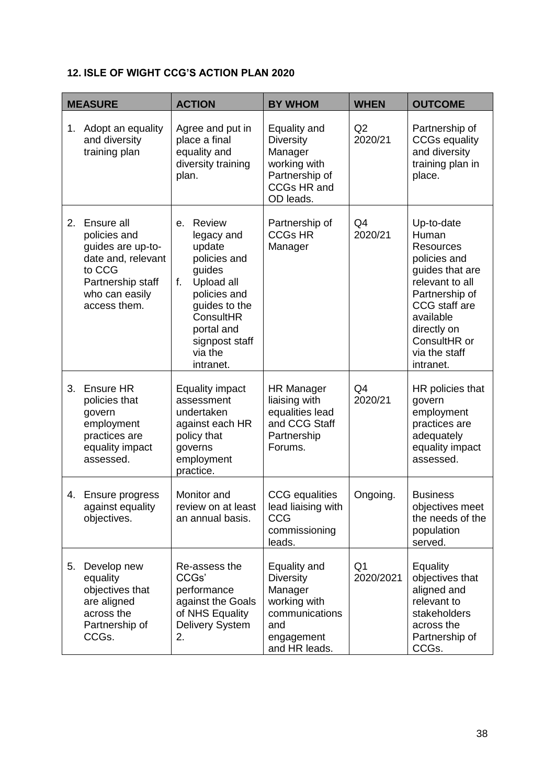# **12. ISLE OF WIGHT CCG'S ACTION PLAN 2020**

| <b>MEASURE</b> |                                                                                                                                        | <b>ACTION</b>                                                                                                                                                                            | <b>BY WHOM</b>                                                                                                      | <b>WHEN</b>     | <b>OUTCOME</b>                                                                                                                                                                                             |
|----------------|----------------------------------------------------------------------------------------------------------------------------------------|------------------------------------------------------------------------------------------------------------------------------------------------------------------------------------------|---------------------------------------------------------------------------------------------------------------------|-----------------|------------------------------------------------------------------------------------------------------------------------------------------------------------------------------------------------------------|
| 1.             | Adopt an equality<br>and diversity<br>training plan                                                                                    | Agree and put in<br>place a final<br>equality and<br>diversity training<br>plan.                                                                                                         | Equality and<br><b>Diversity</b><br>Manager<br>working with<br>Partnership of<br>CCGs HR and<br>OD leads.           | Q2<br>2020/21   | Partnership of<br><b>CCGs equality</b><br>and diversity<br>training plan in<br>place.                                                                                                                      |
| 2.             | Ensure all<br>policies and<br>guides are up-to-<br>date and, relevant<br>to CCG<br>Partnership staff<br>who can easily<br>access them. | Review<br>е.<br>legacy and<br>update<br>policies and<br>guides<br>f.<br>Upload all<br>policies and<br>guides to the<br>ConsultHR<br>portal and<br>signpost staff<br>via the<br>intranet. | Partnership of<br><b>CCGs HR</b><br>Manager                                                                         | Q4<br>2020/21   | Up-to-date<br>Human<br><b>Resources</b><br>policies and<br>guides that are<br>relevant to all<br>Partnership of<br>CCG staff are<br>available<br>directly on<br>ConsultHR or<br>via the staff<br>intranet. |
| 3.             | Ensure HR<br>policies that<br>govern<br>employment<br>practices are<br>equality impact<br>assessed.                                    | <b>Equality impact</b><br>assessment<br>undertaken<br>against each HR<br>policy that<br>governs<br>employment<br>practice.                                                               | <b>HR Manager</b><br>liaising with<br>equalities lead<br>and CCG Staff<br>Partnership<br>Forums.                    | Q4<br>2020/21   | HR policies that<br>govern<br>employment<br>practices are<br>adequately<br>equality impact<br>assessed.                                                                                                    |
|                | 4. Ensure progress<br>against equality<br>objectives.                                                                                  | Monitor and<br>review on at least<br>an annual basis.                                                                                                                                    | <b>CCG</b> equalities<br>lead liaising with<br><b>CCG</b><br>commissioning<br>leads.                                | Ongoing.        | <b>Business</b><br>objectives meet<br>the needs of the<br>population<br>served.                                                                                                                            |
| 5.             | Develop new<br>equality<br>objectives that<br>are aligned<br>across the<br>Partnership of<br>CCGs.                                     | Re-assess the<br>CCGs'<br>performance<br>against the Goals<br>of NHS Equality<br><b>Delivery System</b><br>2.                                                                            | Equality and<br><b>Diversity</b><br>Manager<br>working with<br>communications<br>and<br>engagement<br>and HR leads. | Q1<br>2020/2021 | Equality<br>objectives that<br>aligned and<br>relevant to<br>stakeholders<br>across the<br>Partnership of<br>CCGs.                                                                                         |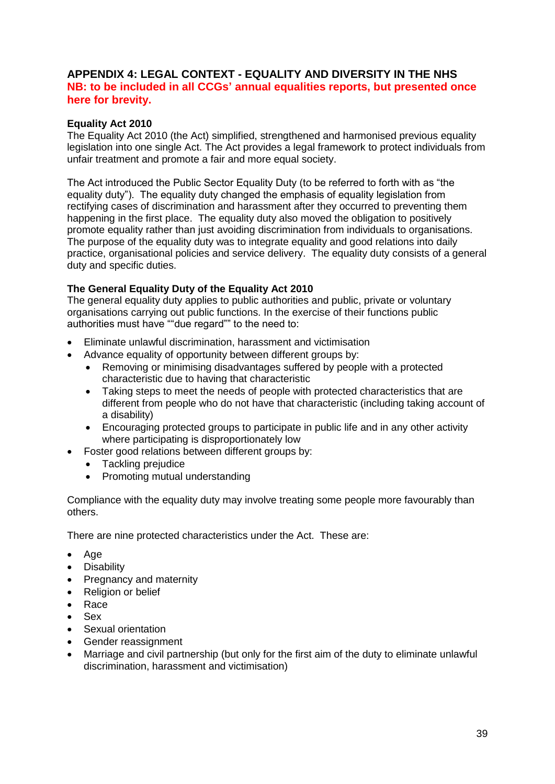#### **APPENDIX 4: LEGAL CONTEXT - EQUALITY AND DIVERSITY IN THE NHS NB: to be included in all CCGs' annual equalities reports, but presented once here for brevity.**

#### **Equality Act 2010**

The Equality Act 2010 (the Act) simplified, strengthened and harmonised previous equality legislation into one single Act. The Act provides a legal framework to protect individuals from unfair treatment and promote a fair and more equal society.

The Act introduced the Public Sector Equality Duty (to be referred to forth with as "the equality duty"). The equality duty changed the emphasis of equality legislation from rectifying cases of discrimination and harassment after they occurred to preventing them happening in the first place. The equality duty also moved the obligation to positively promote equality rather than just avoiding discrimination from individuals to organisations. The purpose of the equality duty was to integrate equality and good relations into daily practice, organisational policies and service delivery. The equality duty consists of a general duty and specific duties.

#### **The General Equality Duty of the Equality Act 2010**

The general equality duty applies to public authorities and public, private or voluntary organisations carrying out public functions. In the exercise of their functions public authorities must have ""due regard"" to the need to:

- Eliminate unlawful discrimination, harassment and victimisation
- Advance equality of opportunity between different groups by:
	- Removing or minimising disadvantages suffered by people with a protected characteristic due to having that characteristic
	- Taking steps to meet the needs of people with protected characteristics that are different from people who do not have that characteristic (including taking account of a disability)
	- Encouraging protected groups to participate in public life and in any other activity where participating is disproportionately low
- Foster good relations between different groups by:
	- Tackling prejudice
	- Promoting mutual understanding

Compliance with the equality duty may involve treating some people more favourably than others.

There are nine protected characteristics under the Act. These are:

- Age
- **Disability**
- Pregnancy and maternity
- Religion or belief
- Race
- Sex
- Sexual orientation
- Gender reassignment
- Marriage and civil partnership (but only for the first aim of the duty to eliminate unlawful discrimination, harassment and victimisation)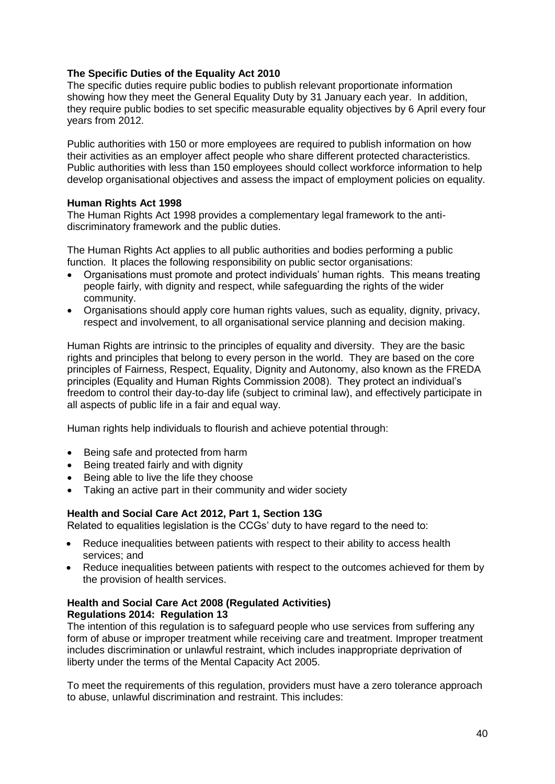#### **The Specific Duties of the Equality Act 2010**

The specific duties require public bodies to publish relevant proportionate information showing how they meet the General Equality Duty by 31 January each year. In addition, they require public bodies to set specific measurable equality objectives by 6 April every four years from 2012.

Public authorities with 150 or more employees are required to publish information on how their activities as an employer affect people who share different protected characteristics. Public authorities with less than 150 employees should collect workforce information to help develop organisational objectives and assess the impact of employment policies on equality.

#### **Human Rights Act 1998**

The Human Rights Act 1998 provides a complementary legal framework to the antidiscriminatory framework and the public duties.

The Human Rights Act applies to all public authorities and bodies performing a public function. It places the following responsibility on public sector organisations:

- Organisations must promote and protect individuals' human rights. This means treating people fairly, with dignity and respect, while safeguarding the rights of the wider community.
- Organisations should apply core human rights values, such as equality, dignity, privacy, respect and involvement, to all organisational service planning and decision making.

Human Rights are intrinsic to the principles of equality and diversity. They are the basic rights and principles that belong to every person in the world. They are based on the core principles of Fairness, Respect, Equality, Dignity and Autonomy, also known as the FREDA principles (Equality and Human Rights Commission 2008). They protect an individual's freedom to control their day-to-day life (subject to criminal law), and effectively participate in all aspects of public life in a fair and equal way.

Human rights help individuals to flourish and achieve potential through:

- Being safe and protected from harm
- Being treated fairly and with dignity
- Being able to live the life they choose
- Taking an active part in their community and wider society

#### **Health and Social Care Act 2012, Part 1, Section 13G**

Related to equalities legislation is the CCGs' duty to have regard to the need to:

- Reduce inequalities between patients with respect to their ability to access health services; and
- Reduce inequalities between patients with respect to the outcomes achieved for them by the provision of health services.

#### **Health and Social Care Act 2008 (Regulated Activities) Regulations 2014: Regulation 13**

The intention of this regulation is to safeguard people who use services from suffering any form of abuse or improper treatment while receiving care and treatment. Improper treatment includes discrimination or unlawful restraint, which includes inappropriate deprivation of liberty under the terms of the Mental Capacity Act 2005.

To meet the requirements of this regulation, providers must have a zero tolerance approach to abuse, unlawful discrimination and restraint. This includes: